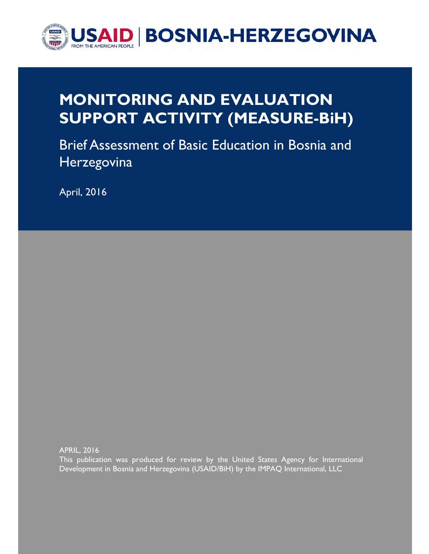

# MONITORING AND EVALUATION SUPPORT ACTIVITY (MEASURE-BiH)

Brief Assessment of Basic Education in Bosnia and **Herzegovina** 

April, 2016

APRIL, 2016

This publication was produced for review by the United States Agency for International Development in Bosnia and Herzegovina (USAID/BiH) by the IMPAQ International, LLC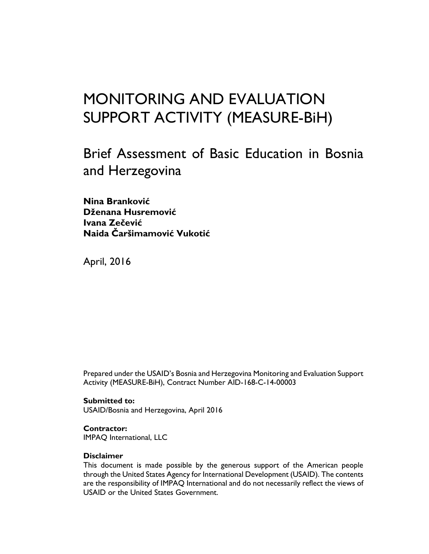# MONITORING AND EVALUATION SUPPORT ACTIVITY (MEASURE-BiH)

Brief Assessment of Basic Education in Bosnia and Herzegovina

Nina Branković Dženana Husremović Ivana Zečević Naida Čaršimamović Vukotić

April, 2016

Prepared under the USAID's Bosnia and Herzegovina Monitoring and Evaluation Support Activity (MEASURE-BiH), Contract Number AID-168-C-14-00003

Submitted to: USAID/Bosnia and Herzegovina, April 2016

Contractor: IMPAQ International, LLC

#### Disclaimer

This document is made possible by the generous support of the American people through the United States Agency for International Development (USAID). The contents are the responsibility of IMPAQ International and do not necessarily reflect the views of USAID or the United States Government.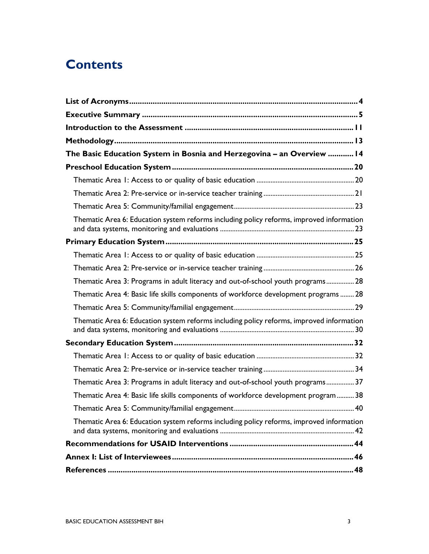## **Contents**

| The Basic Education System in Bosnia and Herzegovina - an Overview  14                   |  |
|------------------------------------------------------------------------------------------|--|
|                                                                                          |  |
|                                                                                          |  |
|                                                                                          |  |
|                                                                                          |  |
| Thematic Area 6: Education system reforms including policy reforms, improved information |  |
|                                                                                          |  |
|                                                                                          |  |
|                                                                                          |  |
| Thematic Area 3: Programs in adult literacy and out-of-school youth programs 28          |  |
| Thematic Area 4: Basic life skills components of workforce development programs  28      |  |
|                                                                                          |  |
| Thematic Area 6: Education system reforms including policy reforms, improved information |  |
|                                                                                          |  |
|                                                                                          |  |
|                                                                                          |  |
| Thematic Area 3: Programs in adult literacy and out-of-school youth programs 37          |  |
| Thematic Area 4: Basic life skills components of workforce development program 38        |  |
|                                                                                          |  |
| Thematic Area 6: Education system reforms including policy reforms, improved information |  |
|                                                                                          |  |
|                                                                                          |  |
|                                                                                          |  |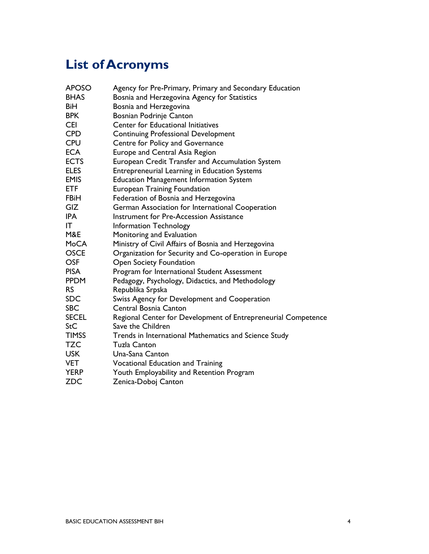# List of Acronyms

| <b>APOSO</b> | Agency for Pre-Primary, Primary and Secondary Education       |
|--------------|---------------------------------------------------------------|
| <b>BHAS</b>  | Bosnia and Herzegovina Agency for Statistics                  |
| BiH          | Bosnia and Herzegovina                                        |
| <b>BPK</b>   | Bosnian Podrinje Canton                                       |
| <b>CEI</b>   | Center for Educational Initiatives                            |
| <b>CPD</b>   | <b>Continuing Professional Development</b>                    |
| <b>CPU</b>   | Centre for Policy and Governance                              |
| <b>ECA</b>   | Europe and Central Asia Region                                |
| <b>ECTS</b>  | European Credit Transfer and Accumulation System              |
| <b>ELES</b>  | Entrepreneurial Learning in Education Systems                 |
| <b>EMIS</b>  | <b>Education Management Information System</b>                |
| <b>ETF</b>   | <b>European Training Foundation</b>                           |
| <b>FBiH</b>  | Federation of Bosnia and Herzegovina                          |
| GIZ          | German Association for International Cooperation              |
| IPA          | Instrument for Pre-Accession Assistance                       |
| ΙT           | Information Technology                                        |
| M&E          | Monitoring and Evaluation                                     |
| MoCA         | Ministry of Civil Affairs of Bosnia and Herzegovina           |
| <b>OSCE</b>  | Organization for Security and Co-operation in Europe          |
| <b>OSF</b>   | Open Society Foundation                                       |
| <b>PISA</b>  | Program for International Student Assessment                  |
| <b>PPDM</b>  | Pedagogy, Psychology, Didactics, and Methodology              |
| <b>RS</b>    | Republika Srpska                                              |
| <b>SDC</b>   | Swiss Agency for Development and Cooperation                  |
| <b>SBC</b>   | Central Bosnia Canton                                         |
| <b>SECEL</b> | Regional Center for Development of Entrepreneurial Competence |
| StC          | Save the Children                                             |
| <b>TIMSS</b> | Trends in International Mathematics and Science Study         |
| TZC          | <b>Tuzla Canton</b>                                           |
| USK I        | Una-Sana Canton                                               |
| <b>VET</b>   | <b>Vocational Education and Training</b>                      |
| <b>YERP</b>  | Youth Employability and Retention Program                     |
| <b>ZDC</b>   | Zenica-Doboj Canton                                           |
|              |                                                               |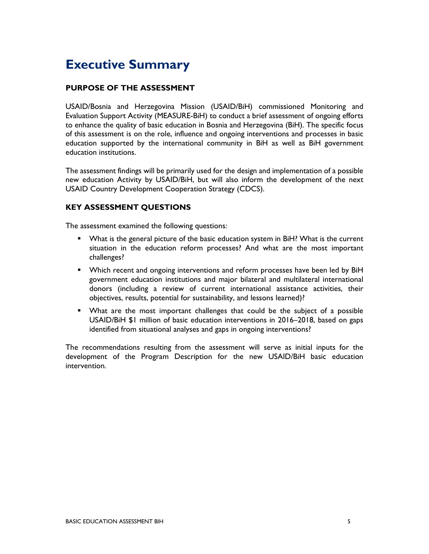## Executive Summary

## PURPOSE OF THE ASSESSMENT

USAID/Bosnia and Herzegovina Mission (USAID/BiH) commissioned Monitoring and Evaluation Support Activity (MEASURE-BiH) to conduct a brief assessment of ongoing efforts to enhance the quality of basic education in Bosnia and Herzegovina (BiH). The specific focus of this assessment is on the role, influence and ongoing interventions and processes in basic education supported by the international community in BiH as well as BiH government education institutions.

The assessment findings will be primarily used for the design and implementation of a possible new education Activity by USAID/BiH, but will also inform the development of the next USAID Country Development Cooperation Strategy (CDCS).

### KEY ASSESSMENT QUESTIONS

The assessment examined the following questions:

- **•** What is the general picture of the basic education system in BiH? What is the current situation in the education reform processes? And what are the most important challenges?
- **Which recent and ongoing interventions and reform processes have been led by BiH** government education institutions and major bilateral and multilateral international donors (including a review of current international assistance activities, their objectives, results, potential for sustainability, and lessons learned)?
- What are the most important challenges that could be the subject of a possible USAID/BiH \$1 million of basic education interventions in 2016–2018, based on gaps identified from situational analyses and gaps in ongoing interventions?

The recommendations resulting from the assessment will serve as initial inputs for the development of the Program Description for the new USAID/BiH basic education intervention.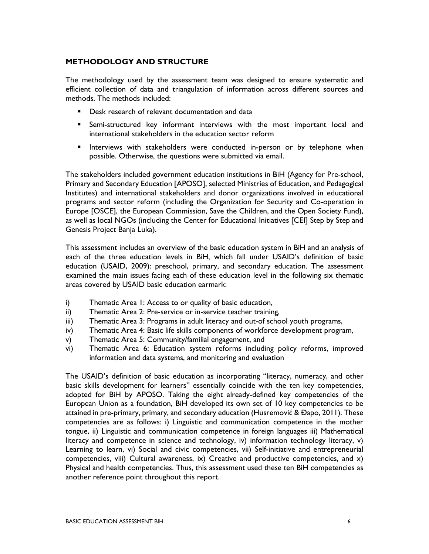### METHODOLOGY AND STRUCTURE

The methodology used by the assessment team was designed to ensure systematic and efficient collection of data and triangulation of information across different sources and methods. The methods included:

- Desk research of relevant documentation and data
- Semi-structured key informant interviews with the most important local and international stakeholders in the education sector reform
- **Interviews with stakeholders were conducted in-person or by telephone when** possible. Otherwise, the questions were submitted via email.

The stakeholders included government education institutions in BiH (Agency for Pre-school, Primary and Secondary Education [APOSO], selected Ministries of Education, and Pedagogical Institutes) and international stakeholders and donor organizations involved in educational programs and sector reform (including the Organization for Security and Co-operation in Europe [OSCE], the European Commission, Save the Children, and the Open Society Fund), as well as local NGOs (including the Center for Educational Initiatives [CEI] Step by Step and Genesis Project Banja Luka).

This assessment includes an overview of the basic education system in BiH and an analysis of each of the three education levels in BiH, which fall under USAID's definition of basic education (USAID, 2009): preschool, primary, and secondary education. The assessment examined the main issues facing each of these education level in the following six thematic areas covered by USAID basic education earmark:

- i) Thematic Area 1: Access to or quality of basic education,
- ii) Thematic Area 2: Pre-service or in-service teacher training,
- iii) Thematic Area 3: Programs in adult literacy and out-of school youth programs,
- iv) Thematic Area 4: Basic life skills components of workforce development program,
- v) Thematic Area 5: Community/familial engagement, and
- vi) Thematic Area 6: Education system reforms including policy reforms, improved information and data systems, and monitoring and evaluation

The USAID's definition of basic education as incorporating "literacy, numeracy, and other basic skills development for learners" essentially coincide with the ten key competencies, adopted for BiH by APOSO. Taking the eight already-defined key competencies of the European Union as a foundation, BiH developed its own set of 10 key competencies to be attained in pre-primary, primary, and secondary education (Husremović & Đapo, 2011). These competencies are as follows: i) Linguistic and communication competence in the mother tongue, ii) Linguistic and communication competence in foreign languages iii) Mathematical literacy and competence in science and technology, iv) information technology literacy, v) Learning to learn, vi) Social and civic competencies, vii) Self-initiative and entrepreneurial competencies, viii) Cultural awareness, ix) Creative and productive competencies, and  $x$ ) Physical and health competencies. Thus, this assessment used these ten BiH competencies as another reference point throughout this report.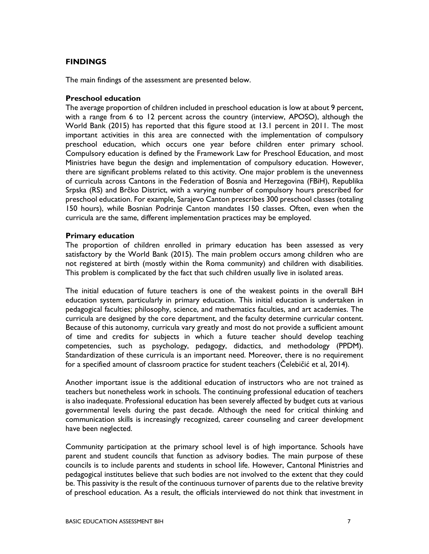### **FINDINGS**

The main findings of the assessment are presented below.

#### Preschool education

The average proportion of children included in preschool education is low at about 9 percent, with a range from 6 to 12 percent across the country (interview, APOSO), although the World Bank (2015) has reported that this figure stood at 13.1 percent in 2011. The most important activities in this area are connected with the implementation of compulsory preschool education, which occurs one year before children enter primary school. Compulsory education is defined by the Framework Law for Preschool Education, and most Ministries have begun the design and implementation of compulsory education. However, there are significant problems related to this activity. One major problem is the unevenness of curricula across Cantons in the Federation of Bosnia and Herzegovina (FBiH), Republika Srpska (RS) and Brčko District, with a varying number of compulsory hours prescribed for preschool education. For example, Sarajevo Canton prescribes 300 preschool classes (totaling 150 hours), while Bosnian Podrinje Canton mandates 150 classes. Often, even when the curricula are the same, different implementation practices may be employed.

#### Primary education

The proportion of children enrolled in primary education has been assessed as very satisfactory by the World Bank (2015). The main problem occurs among children who are not registered at birth (mostly within the Roma community) and children with disabilities. This problem is complicated by the fact that such children usually live in isolated areas.

The initial education of future teachers is one of the weakest points in the overall BiH education system, particularly in primary education. This initial education is undertaken in pedagogical faculties; philosophy, science, and mathematics faculties, and art academies. The curricula are designed by the core department, and the faculty determine curricular content. Because of this autonomy, curricula vary greatly and most do not provide a sufficient amount of time and credits for subjects in which a future teacher should develop teaching competencies, such as psychology, pedagogy, didactics, and methodology (PPDM). Standardization of these curricula is an important need. Moreover, there is no requirement for a specified amount of classroom practice for student teachers (Čelebičić et al, 2014).

Another important issue is the additional education of instructors who are not trained as teachers but nonetheless work in schools. The continuing professional education of teachers is also inadequate. Professional education has been severely affected by budget cuts at various governmental levels during the past decade. Although the need for critical thinking and communication skills is increasingly recognized, career counseling and career development have been neglected.

Community participation at the primary school level is of high importance. Schools have parent and student councils that function as advisory bodies. The main purpose of these councils is to include parents and students in school life. However, Cantonal Ministries and pedagogical institutes believe that such bodies are not involved to the extent that they could be. This passivity is the result of the continuous turnover of parents due to the relative brevity of preschool education. As a result, the officials interviewed do not think that investment in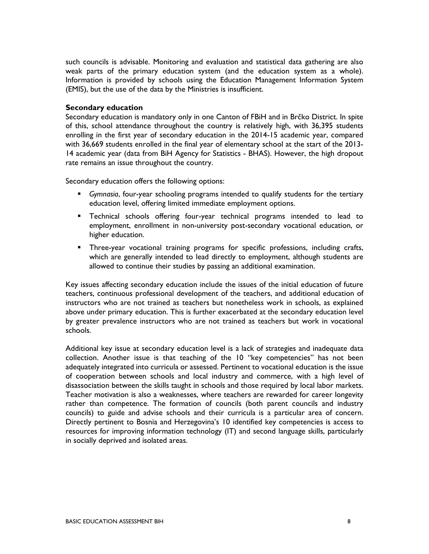such councils is advisable. Monitoring and evaluation and statistical data gathering are also weak parts of the primary education system (and the education system as a whole). Information is provided by schools using the Education Management Information System (EMIS), but the use of the data by the Ministries is insufficient.

#### Secondary education

Secondary education is mandatory only in one Canton of FBiH and in Brčko District. In spite of this, school attendance throughout the country is relatively high, with 36,395 students enrolling in the first year of secondary education in the 2014-15 academic year, compared with 36,669 students enrolled in the final year of elementary school at the start of the 2013- 14 academic year (data from BiH Agency for Statistics - BHAS). However, the high dropout rate remains an issue throughout the country.

Secondary education offers the following options:

- Gymnasia, four-year schooling programs intended to qualify students for the tertiary education level, offering limited immediate employment options.
- Technical schools offering four-year technical programs intended to lead to employment, enrollment in non-university post-secondary vocational education, or higher education.
- Three-year vocational training programs for specific professions, including crafts, which are generally intended to lead directly to employment, although students are allowed to continue their studies by passing an additional examination.

Key issues affecting secondary education include the issues of the initial education of future teachers, continuous professional development of the teachers, and additional education of instructors who are not trained as teachers but nonetheless work in schools, as explained above under primary education. This is further exacerbated at the secondary education level by greater prevalence instructors who are not trained as teachers but work in vocational schools.

Additional key issue at secondary education level is a lack of strategies and inadequate data collection. Another issue is that teaching of the 10 "key competencies" has not been adequately integrated into curricula or assessed. Pertinent to vocational education is the issue of cooperation between schools and local industry and commerce, with a high level of disassociation between the skills taught in schools and those required by local labor markets. Teacher motivation is also a weaknesses, where teachers are rewarded for career longevity rather than competence. The formation of councils (both parent councils and industry councils) to guide and advise schools and their curricula is a particular area of concern. Directly pertinent to Bosnia and Herzegovina's 10 identified key competencies is access to resources for improving information technology (IT) and second language skills, particularly in socially deprived and isolated areas.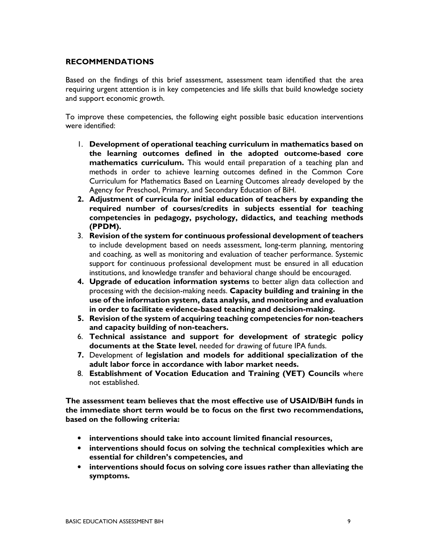#### RECOMMENDATIONS

Based on the findings of this brief assessment, assessment team identified that the area requiring urgent attention is in key competencies and life skills that build knowledge society and support economic growth.

To improve these competencies, the following eight possible basic education interventions were identified:

- 1. Development of operational teaching curriculum in mathematics based on the learning outcomes defined in the adopted outcome-based core mathematics curriculum. This would entail preparation of a teaching plan and methods in order to achieve learning outcomes defined in the Common Core Curriculum for Mathematics Based on Learning Outcomes already developed by the Agency for Preschool, Primary, and Secondary Education of BiH.
- 2. Adjustment of curricula for initial education of teachers by expanding the required number of courses/credits in subjects essential for teaching competencies in pedagogy, psychology, didactics, and teaching methods (PPDM).
- 3. Revision of the system for continuous professional development of teachers to include development based on needs assessment, long-term planning, mentoring and coaching, as well as monitoring and evaluation of teacher performance. Systemic support for continuous professional development must be ensured in all education institutions, and knowledge transfer and behavioral change should be encouraged.
- 4. Upgrade of education information systems to better align data collection and processing with the decision-making needs. Capacity building and training in the use of the information system, data analysis, and monitoring and evaluation in order to facilitate evidence-based teaching and decision-making.
- 5. Revision of the system of acquiring teaching competencies for non-teachers and capacity building of non-teachers.
- 6. Technical assistance and support for development of strategic policy documents at the State level, needed for drawing of future IPA funds.
- 7. Development of legislation and models for additional specialization of the adult labor force in accordance with labor market needs.
- 8. Establishment of Vocation Education and Training (VET) Councils where not established.

The assessment team believes that the most effective use of USAID/BiH funds in the immediate short term would be to focus on the first two recommendations, based on the following criteria:

- interventions should take into account limited financial resources,
- interventions should focus on solving the technical complexities which are essential for children's competencies, and
- interventions should focus on solving core issues rather than alleviating the symptoms.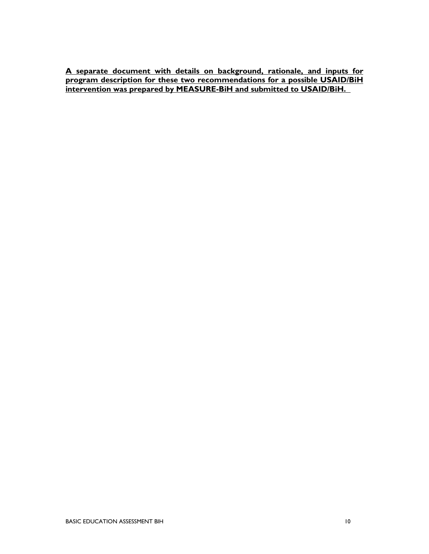A separate document with details on background, rationale, and inputs for program description for these two recommendations for a possible USAID/BiH intervention was prepared by MEASURE-BiH and submitted to USAID/BiH.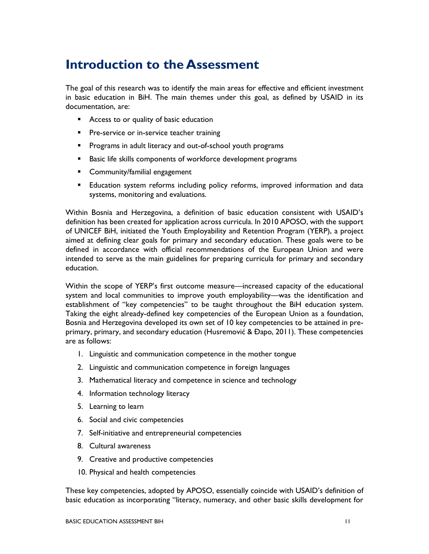## Introduction to the Assessment

The goal of this research was to identify the main areas for effective and efficient investment in basic education in BiH. The main themes under this goal, as defined by USAID in its documentation, are:

- **Access to or quality of basic education**
- **Pre-service or in-service teacher training**
- **Programs in adult literacy and out-of-school youth programs**
- **Basic life skills components of workforce development programs**
- **EXECOMMUNITY** Community/familial engagement
- Education system reforms including policy reforms, improved information and data systems, monitoring and evaluations.

Within Bosnia and Herzegovina, a definition of basic education consistent with USAID's definition has been created for application across curricula. In 2010 APOSO, with the support of UNICEF BiH, initiated the Youth Employability and Retention Program (YERP), a project aimed at defining clear goals for primary and secondary education. These goals were to be defined in accordance with official recommendations of the European Union and were intended to serve as the main guidelines for preparing curricula for primary and secondary education.

Within the scope of YERP's first outcome measure—increased capacity of the educational system and local communities to improve youth employability—was the identification and establishment of "key competencies" to be taught throughout the BiH education system. Taking the eight already-defined key competencies of the European Union as a foundation, Bosnia and Herzegovina developed its own set of 10 key competencies to be attained in preprimary, primary, and secondary education (Husremović & Đapo, 2011). These competencies are as follows:

- 1. Linguistic and communication competence in the mother tongue
- 2. Linguistic and communication competence in foreign languages
- 3. Mathematical literacy and competence in science and technology
- 4. Information technology literacy
- 5. Learning to learn
- 6. Social and civic competencies
- 7. Self-initiative and entrepreneurial competencies
- 8. Cultural awareness
- 9. Creative and productive competencies
- 10. Physical and health competencies

These key competencies, adopted by APOSO, essentially coincide with USAID's definition of basic education as incorporating "literacy, numeracy, and other basic skills development for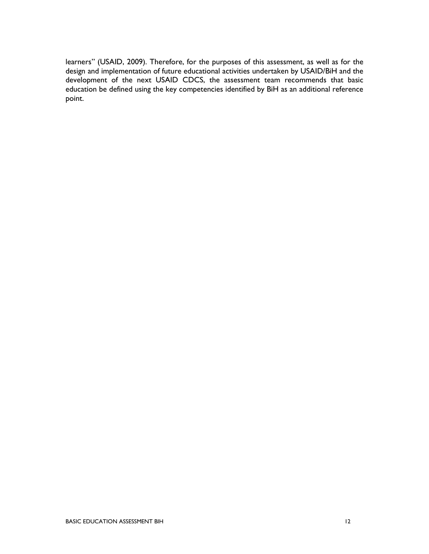learners" (USAID, 2009). Therefore, for the purposes of this assessment, as well as for the design and implementation of future educational activities undertaken by USAID/BiH and the development of the next USAID CDCS, the assessment team recommends that basic education be defined using the key competencies identified by BiH as an additional reference point.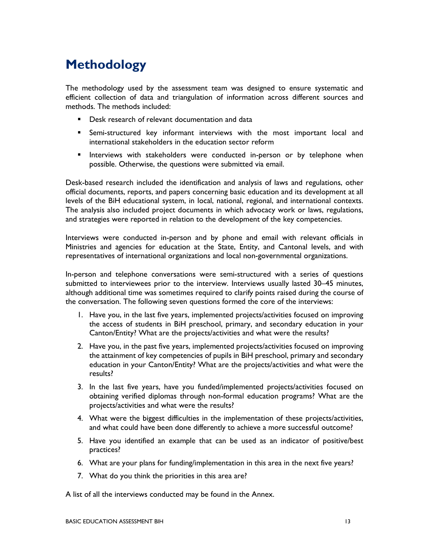## Methodology

The methodology used by the assessment team was designed to ensure systematic and efficient collection of data and triangulation of information across different sources and methods. The methods included:

- **•** Desk research of relevant documentation and data
- Semi-structured key informant interviews with the most important local and international stakeholders in the education sector reform
- **Interviews with stakeholders were conducted in-person or by telephone when** possible. Otherwise, the questions were submitted via email.

Desk-based research included the identification and analysis of laws and regulations, other official documents, reports, and papers concerning basic education and its development at all levels of the BiH educational system, in local, national, regional, and international contexts. The analysis also included project documents in which advocacy work or laws, regulations, and strategies were reported in relation to the development of the key competencies.

Interviews were conducted in-person and by phone and email with relevant officials in Ministries and agencies for education at the State, Entity, and Cantonal levels, and with representatives of international organizations and local non-governmental organizations.

In-person and telephone conversations were semi-structured with a series of questions submitted to interviewees prior to the interview. Interviews usually lasted 30–45 minutes, although additional time was sometimes required to clarify points raised during the course of the conversation. The following seven questions formed the core of the interviews:

- 1. Have you, in the last five years, implemented projects/activities focused on improving the access of students in BiH preschool, primary, and secondary education in your Canton/Entity? What are the projects/activities and what were the results?
- 2. Have you, in the past five years, implemented projects/activities focused on improving the attainment of key competencies of pupils in BiH preschool, primary and secondary education in your Canton/Entity? What are the projects/activities and what were the results?
- 3. In the last five years, have you funded/implemented projects/activities focused on obtaining verified diplomas through non-formal education programs? What are the projects/activities and what were the results?
- 4. What were the biggest difficulties in the implementation of these projects/activities, and what could have been done differently to achieve a more successful outcome?
- 5. Have you identified an example that can be used as an indicator of positive/best practices?
- 6. What are your plans for funding/implementation in this area in the next five years?
- 7. What do you think the priorities in this area are?

A list of all the interviews conducted may be found in the Annex.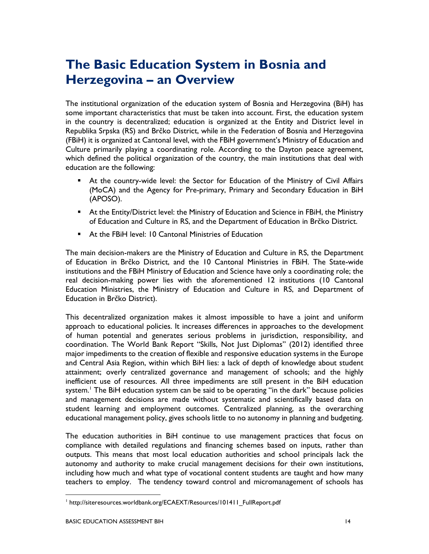## The Basic Education System in Bosnia and Herzegovina – an Overview

The institutional organization of the education system of Bosnia and Herzegovina (BiH) has some important characteristics that must be taken into account. First, the education system in the country is decentralized; education is organized at the Entity and District level in Republika Srpska (RS) and Brčko District, while in the Federation of Bosnia and Herzegovina (FBiH) it is organized at Cantonal level, with the FBiH government's Ministry of Education and Culture primarily playing a coordinating role. According to the Dayton peace agreement, which defined the political organization of the country, the main institutions that deal with education are the following:

- At the country-wide level: the Sector for Education of the Ministry of Civil Affairs (MoCA) and the Agency for Pre-primary, Primary and Secondary Education in BiH (APOSO).
- At the Entity/District level: the Ministry of Education and Science in FBiH, the Ministry of Education and Culture in RS, and the Department of Education in Brčko District.
- At the FBiH level: 10 Cantonal Ministries of Education

The main decision-makers are the Ministry of Education and Culture in RS, the Department of Education in Brčko District, and the 10 Cantonal Ministries in FBiH. The State-wide institutions and the FBiH Ministry of Education and Science have only a coordinating role; the real decision-making power lies with the aforementioned 12 institutions (10 Cantonal Education Ministries, the Ministry of Education and Culture in RS, and Department of Education in Brčko District).

This decentralized organization makes it almost impossible to have a joint and uniform approach to educational policies. It increases differences in approaches to the development of human potential and generates serious problems in jurisdiction, responsibility, and coordination. The World Bank Report "Skills, Not Just Diplomas" (2012) identified three major impediments to the creation of flexible and responsive education systems in the Europe and Central Asia Region, within which BiH lies: a lack of depth of knowledge about student attainment; overly centralized governance and management of schools; and the highly inefficient use of resources. All three impediments are still present in the BiH education system.<sup>I</sup> The BiH education system can be said to be operating "in the dark" because policies and management decisions are made without systematic and scientifically based data on student learning and employment outcomes. Centralized planning, as the overarching educational management policy, gives schools little to no autonomy in planning and budgeting.

The education authorities in BiH continue to use management practices that focus on compliance with detailed regulations and financing schemes based on inputs, rather than outputs. This means that most local education authorities and school principals lack the autonomy and authority to make crucial management decisions for their own institutions, including how much and what type of vocational content students are taught and how many teachers to employ. The tendency toward control and micromanagement of schools has

<sup>1</sup> http://siteresources.worldbank.org/ECAEXT/Resources/101411\_FullReport.pdf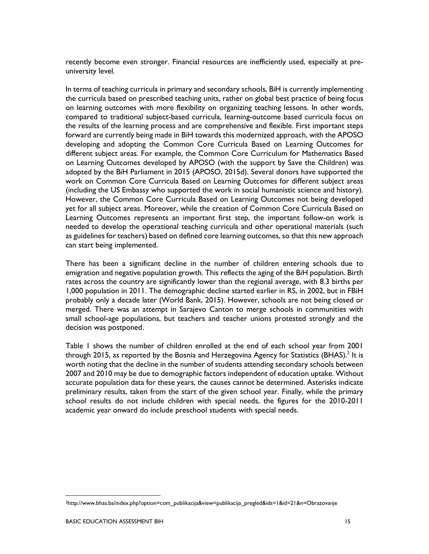recently become even stronger. Financial resources are inefficiently used, especially at preuniversity level.

In terms of teaching curricula in primary and secondary schools, BiH is currently implementing the curricula based on prescribed teaching units, rather on global best practice of being focus on learning outcomes with more flexibility on organizing teaching lessons. In other words, compared to traditional subject-based curricula, learning-outcome based curricula focus on the results of the learning process and are comprehensive and flexible. First important steps forward are currently being made in BiH towards this modernized approach, with the APOSO developing and adopting the Common Core Curricula Based on Learning Outcomes for different subject areas. For example, the Common Core Curriculum for Mathematics Based on Learning Outcomes developed by APOSO (with the support by Save the Children) was adopted by the BiH Parliament in 2015 (APOSO, 2015d). Several donors have supported the work on Common Core Curricula Based on Learning Outcomes for different subject areas (including the US Embassy who supported the work in social humanistic science and history). However, the Common Core Curricula Based on Learning Outcomes not being developed yet for all subject areas. Moreover, while the creation of Common Core Curricula Based on Learning Outcomes represents an important first step, the important follow-on work is needed to develop the operational teaching curricula and other operational materials (such as guidelines for teachers) based on defined core learning outcomes, so that this new approach can start being implemented.

There has been a significant decline in the number of children entering schools due to emigration and negative population growth. This reflects the aging of the BiH population. Birth rates across the country are significantly lower than the regional average, with 8.3 births per 1,000 population in 2011. The demographic decline started earlier in RS, in 2002, but in FBiH probably only a decade later (World Bank, 2015). However, schools are not being closed or merged. There was an attempt in Sarajevo Canton to merge schools in communities with small school-age populations, but teachers and teacher unions protested strongly and the decision was postponed.

Table 1 shows the number of children enrolled at the end of each school year from 2001 through 2015, as reported by the Bosnia and Herzegovina Agency for Statistics (BHAS). $^2$  It is worth noting that the decline in the number of students attending secondary schools between 2007 and 2010 may be due to demographic factors independent of education uptake. Without accurate population data for these years, the causes cannot be determined. Asterisks indicate preliminary results, taken from the start of the given school year. Finally, while the primary school results do not include children with special needs, the figures for the 2010-2011 academic year onward do include preschool students with special needs.

<sup>2</sup>http://www.bhas.ba/index.php?option=com\_publikacija&view=publikacija\_pregled&ids=1&id=21&n=Obrazovanje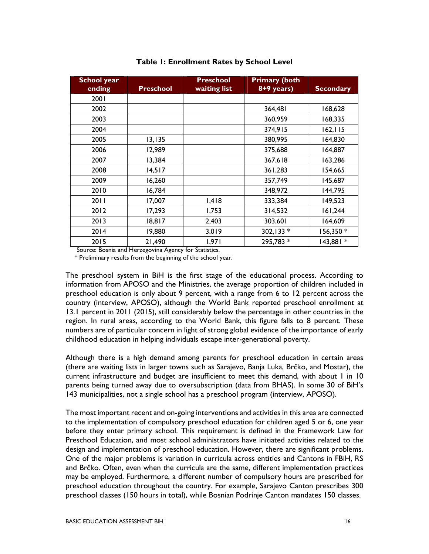| <b>School year</b><br>ending | <b>Preschool</b> | <b>Preschool</b><br>waiting list | <b>Primary (both</b><br>8+9 years) | <b>Secondary</b> |
|------------------------------|------------------|----------------------------------|------------------------------------|------------------|
| 2001                         |                  |                                  |                                    |                  |
| 2002                         |                  |                                  | 364,481                            | 168,628          |
| 2003                         |                  |                                  | 360,959                            | 168,335          |
| 2004                         |                  |                                  | 374,915                            | 162, 115         |
| 2005                         | 13,135           |                                  | 380,995                            | 164,830          |
| 2006                         | 12,989           |                                  | 375,688                            | 164,887          |
| 2007                         | 13,384           |                                  | 367,618                            | 163,286          |
| 2008                         | 14,517           |                                  | 361,283                            | 154,665          |
| 2009                         | 16,260           |                                  | 357,749                            | 145,687          |
| 2010                         | 16,784           |                                  | 348,972                            | 144,795          |
| 2011                         | 17,007           | 1,418                            | 333,384                            | 149,523          |
| 2012                         | 17,293           | 1,753                            | 314,532                            | 161,244          |
| 2013                         | 18,817           | 2,403                            | 303,601                            | 164,609          |
| 2014                         | 19,880           | 3,019                            | 302,133 *                          | 156,350 *        |
| 2015                         | 21,490           | 1,971                            | 295,783 *                          | 143,881 *        |

#### Table 1: Enrollment Rates by School Level

Source: Bosnia and Herzegovina Agency for Statistics.

\* Preliminary results from the beginning of the school year.

The preschool system in BiH is the first stage of the educational process. According to information from APOSO and the Ministries, the average proportion of children included in preschool education is only about 9 percent, with a range from 6 to 12 percent across the country (interview, APOSO), although the World Bank reported preschool enrollment at 13.1 percent in 2011 (2015), still considerably below the percentage in other countries in the region. In rural areas, according to the World Bank, this figure falls to 8 percent. These numbers are of particular concern in light of strong global evidence of the importance of early childhood education in helping individuals escape inter-generational poverty.

Although there is a high demand among parents for preschool education in certain areas (there are waiting lists in larger towns such as Sarajevo, Banja Luka, Brčko, and Mostar), the current infrastructure and budget are insufficient to meet this demand, with about 1 in 10 parents being turned away due to oversubscription (data from BHAS). In some 30 of BiH's 143 municipalities, not a single school has a preschool program (interview, APOSO).

The most important recent and on-going interventions and activities in this area are connected to the implementation of compulsory preschool education for children aged 5 or 6, one year before they enter primary school. This requirement is defined in the Framework Law for Preschool Education, and most school administrators have initiated activities related to the design and implementation of preschool education. However, there are significant problems. One of the major problems is variation in curricula across entities and Cantons in FBiH, RS and Brčko. Often, even when the curricula are the same, different implementation practices may be employed. Furthermore, a different number of compulsory hours are prescribed for preschool education throughout the country. For example, Sarajevo Canton prescribes 300 preschool classes (150 hours in total), while Bosnian Podrinje Canton mandates 150 classes.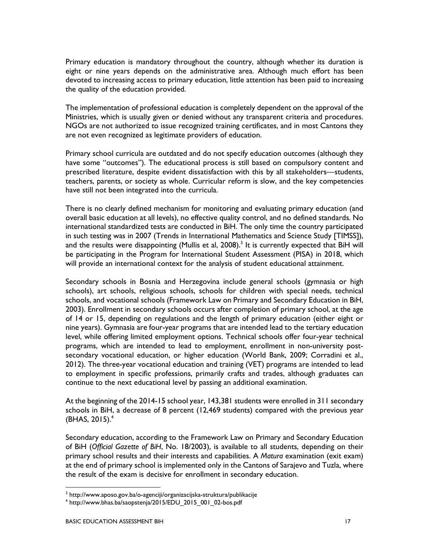Primary education is mandatory throughout the country, although whether its duration is eight or nine years depends on the administrative area. Although much effort has been devoted to increasing access to primary education, little attention has been paid to increasing the quality of the education provided.

The implementation of professional education is completely dependent on the approval of the Ministries, which is usually given or denied without any transparent criteria and procedures. NGOs are not authorized to issue recognized training certificates, and in most Cantons they are not even recognized as legitimate providers of education.

Primary school curricula are outdated and do not specify education outcomes (although they have some "outcomes"). The educational process is still based on compulsory content and prescribed literature, despite evident dissatisfaction with this by all stakeholders—students, teachers, parents, or society as whole. Curricular reform is slow, and the key competencies have still not been integrated into the curricula.

There is no clearly defined mechanism for monitoring and evaluating primary education (and overall basic education at all levels), no effective quality control, and no defined standards. No international standardized tests are conducted in BiH. The only time the country participated in such testing was in 2007 (Trends in International Mathematics and Science Study [TIMSS]), and the results were disappointing (Mullis et al, 2008). $^3$  It is currently expected that BiH will be participating in the Program for International Student Assessment (PISA) in 2018, which will provide an international context for the analysis of student educational attainment.

Secondary schools in Bosnia and Herzegovina include general schools (gymnasia or high schools), art schools, religious schools, schools for children with special needs, technical schools, and vocational schools (Framework Law on Primary and Secondary Education in BiH, 2003). Enrollment in secondary schools occurs after completion of primary school, at the age of 14 or 15, depending on regulations and the length of primary education (either eight or nine years). Gymnasia are four-year programs that are intended lead to the tertiary education level, while offering limited employment options. Technical schools offer four-year technical programs, which are intended to lead to employment, enrollment in non-university postsecondary vocational education, or higher education (World Bank, 2009; Corradini et al., 2012). The three-year vocational education and training (VET) programs are intended to lead to employment in specific professions, primarily crafts and trades, although graduates can continue to the next educational level by passing an additional examination.

At the beginning of the 2014-15 school year, 143,381 students were enrolled in 311 secondary schools in BiH, a decrease of 8 percent (12,469 students) compared with the previous year  $(BHAS, 2015).<sup>4</sup>$ 

Secondary education, according to the Framework Law on Primary and Secondary Education of BiH (Official Gazette of BiH, No. 18/2003), is available to all students, depending on their primary school results and their interests and capabilities. A Matura examination (exit exam) at the end of primary school is implemented only in the Cantons of Sarajevo and Tuzla, where the result of the exam is decisive for enrollment in secondary education.

 $\ddot{\phantom{a}}$ 

<sup>&</sup>lt;sup>3</sup> http://www.aposo.gov.ba/o-agenciji/organizacijska-struktura/publikacije

<sup>4</sup> http://www.bhas.ba/saopstenja/2015/EDU\_2015\_001\_02-bos.pdf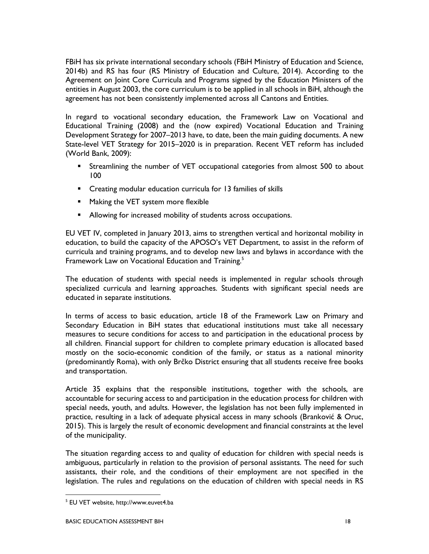FBiH has six private international secondary schools (FBiH Ministry of Education and Science, 2014b) and RS has four (RS Ministry of Education and Culture, 2014). According to the Agreement on Joint Core Curricula and Programs signed by the Education Ministers of the entities in August 2003, the core curriculum is to be applied in all schools in BiH, although the agreement has not been consistently implemented across all Cantons and Entities.

In regard to vocational secondary education, the Framework Law on Vocational and Educational Training (2008) and the (now expired) Vocational Education and Training Development Strategy for 2007–2013 have, to date, been the main guiding documents. A new State-level VET Strategy for 2015–2020 is in preparation. Recent VET reform has included (World Bank, 2009):

- Streamlining the number of VET occupational categories from almost 500 to about 100
- Creating modular education curricula for 13 families of skills
- **Making the VET system more flexible**
- **Allowing for increased mobility of students across occupations.**

EU VET IV, completed in January 2013, aims to strengthen vertical and horizontal mobility in education, to build the capacity of the APOSO's VET Department, to assist in the reform of curricula and training programs, and to develop new laws and bylaws in accordance with the Framework Law on Vocational Education and Training.<sup>5</sup>

The education of students with special needs is implemented in regular schools through specialized curricula and learning approaches. Students with significant special needs are educated in separate institutions.

In terms of access to basic education, article 18 of the Framework Law on Primary and Secondary Education in BiH states that educational institutions must take all necessary measures to secure conditions for access to and participation in the educational process by all children. Financial support for children to complete primary education is allocated based mostly on the socio-economic condition of the family, or status as a national minority (predominantly Roma), with only Brčko District ensuring that all students receive free books and transportation.

Article 35 explains that the responsible institutions, together with the schools, are accountable for securing access to and participation in the education process for children with special needs, youth, and adults. However, the legislation has not been fully implemented in practice, resulting in a lack of adequate physical access in many schools (Branković & Oruc, 2015). This is largely the result of economic development and financial constraints at the level of the municipality.

The situation regarding access to and quality of education for children with special needs is ambiguous, particularly in relation to the provision of personal assistants. The need for such assistants, their role, and the conditions of their employment are not specified in the legislation. The rules and regulations on the education of children with special needs in RS

<sup>5</sup> EU VET website, http://www.euvet4.ba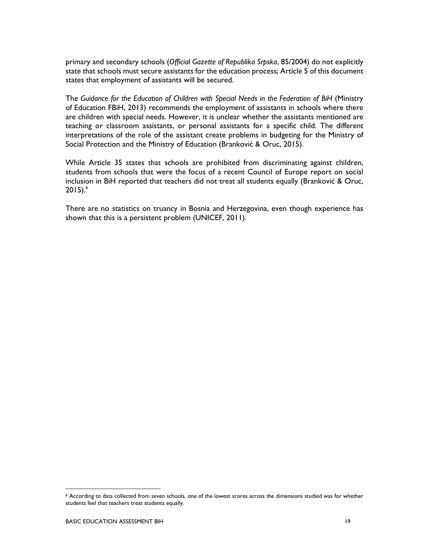primary and secondary schools (Official Gazette of Republika Srpska, 85/2004) do not explicitly state that schools must secure assistants for the education process; Article 5 of this document states that employment of assistants will be secured.

The Guidance for the Education of Children with Special Needs in the Federation of BiH (Ministry of Education FBiH, 2013) recommends the employment of assistants in schools where there are children with special needs. However, it is unclear whether the assistants mentioned are teaching or classroom assistants, or personal assistants for a specific child. The different interpretations of the role of the assistant create problems in budgeting for the Ministry of Social Protection and the Ministry of Education (Branković & Oruc, 2015).

While Article 35 states that schools are prohibited from discriminating against children, students from schools that were the focus of a recent Council of Europe report on social inclusion in BiH reported that teachers did not treat all students equally (Branković & Oruc,  $2015$ .<sup>6</sup>

There are no statistics on truancy in Bosnia and Herzegovina, even though experience has shown that this is a persistent problem (UNICEF, 2011).

 $\ddot{\phantom{a}}$ 

<sup>6</sup> According to data collected from seven schools, one of the lowest scores across the dimensions studied was for whether students feel that teachers treat students equally.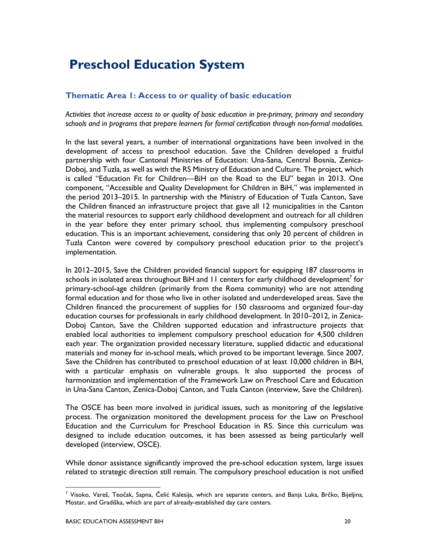## Preschool Education System

### Thematic Area 1: Access to or quality of basic education

Activities that increase access to or quality of basic education in pre-primary, primary and secondary schools and in programs that prepare learners for formal certification through non-formal modalities.

In the last several years, a number of international organizations have been involved in the development of access to preschool education. Save the Children developed a fruitful partnership with four Cantonal Ministries of Education: Una-Sana, Central Bosnia, Zenica-Doboj, and Tuzla, as well as with the RS Ministry of Education and Culture. The project, which is called "Education Fit for Children—BiH on the Road to the EU" began in 2013. One component, "Accessible and Quality Development for Children in BiH," was implemented in the period 2013–2015. In partnership with the Ministry of Education of Tuzla Canton, Save the Children financed an infrastructure project that gave all 12 municipalities in the Canton the material resources to support early childhood development and outreach for all children in the year before they enter primary school, thus implementing compulsory preschool education. This is an important achievement, considering that only 20 percent of children in Tuzla Canton were covered by compulsory preschool education prior to the project's implementation.

In 2012–2015, Save the Children provided financial support for equipping 187 classrooms in schools in isolated areas throughout BiH and 11 centers for early childhood development $^7$  for primary-school-age children (primarily from the Roma community) who are not attending formal education and for those who live in other isolated and underdeveloped areas. Save the Children financed the procurement of supplies for 150 classrooms and organized four-day education courses for professionals in early childhood development. In 2010–2012, in Zenica-Doboj Canton, Save the Children supported education and infrastructure projects that enabled local authorities to implement compulsory preschool education for 4,500 children each year. The organization provided necessary literature, supplied didactic and educational materials and money for in-school meals, which proved to be important leverage. Since 2007, Save the Children has contributed to preschool education of at least 10,000 children in BiH, with a particular emphasis on vulnerable groups. It also supported the process of harmonization and implementation of the Framework Law on Preschool Care and Education in Una-Sana Canton, Zenica-Doboj Canton, and Tuzla Canton (interview, Save the Children).

The OSCE has been more involved in juridical issues, such as monitoring of the legislative process. The organization monitored the development process for the Law on Preschool Education and the Curriculum for Preschool Education in RS. Since this curriculum was designed to include education outcomes, it has been assessed as being particularly well developed (interview, OSCE).

While donor assistance significantly improved the pre-school education system, large issues related to strategic direction still remain. The compulsory preschool education is not unified

<sup>&</sup>lt;sup>7</sup> Visoko, Vareš, Teočak, Sapna, Čelić Kalesija, which are separate centers, and Banja Luka, Brčko, Bijeljina, Mostar, and Gradiška, which are part of already-established day care centers.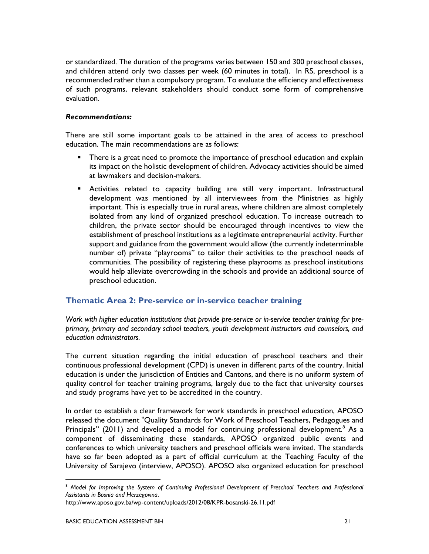or standardized. The duration of the programs varies between 150 and 300 preschool classes, and children attend only two classes per week (60 minutes in total). In RS, preschool is a recommended rather than a compulsory program. To evaluate the efficiency and effectiveness of such programs, relevant stakeholders should conduct some form of comprehensive evaluation.

#### Recommendations:

There are still some important goals to be attained in the area of access to preschool education. The main recommendations are as follows:

- There is a great need to promote the importance of preschool education and explain its impact on the holistic development of children. Advocacy activities should be aimed at lawmakers and decision-makers.
- Activities related to capacity building are still very important. Infrastructural development was mentioned by all interviewees from the Ministries as highly important. This is especially true in rural areas, where children are almost completely isolated from any kind of organized preschool education. To increase outreach to children, the private sector should be encouraged through incentives to view the establishment of preschool institutions as a legitimate entrepreneurial activity. Further support and guidance from the government would allow (the currently indeterminable number of) private "playrooms" to tailor their activities to the preschool needs of communities. The possibility of registering these playrooms as preschool institutions would help alleviate overcrowding in the schools and provide an additional source of preschool education.

### Thematic Area 2: Pre-service or in-service teacher training

Work with higher education institutions that provide pre-service or in-service teacher training for preprimary, primary and secondary school teachers, youth development instructors and counselors, and education administrators.

The current situation regarding the initial education of preschool teachers and their continuous professional development (CPD) is uneven in different parts of the country. Initial education is under the jurisdiction of Entities and Cantons, and there is no uniform system of quality control for teacher training programs, largely due to the fact that university courses and study programs have yet to be accredited in the country.

In order to establish a clear framework for work standards in preschool education, APOSO released the document "Quality Standards for Work of Preschool Teachers, Pedagogues and Principals" (2011) and developed a model for continuing professional development.<sup>8</sup> As a component of disseminating these standards, APOSO organized public events and conferences to which university teachers and preschool officials were invited. The standards have so far been adopted as a part of official curriculum at the Teaching Faculty of the University of Sarajevo (interview, APOSO). APOSO also organized education for preschool

 $\overline{a}$ <sup>8</sup> Model for Improving the System of Continuing Professional Development of Preschool Teachers and Professional Assistants in Bosnia and Herzegovina.

http://www.aposo.gov.ba/wp-content/uploads/2012/08/KPR-bosanski-26.11.pdf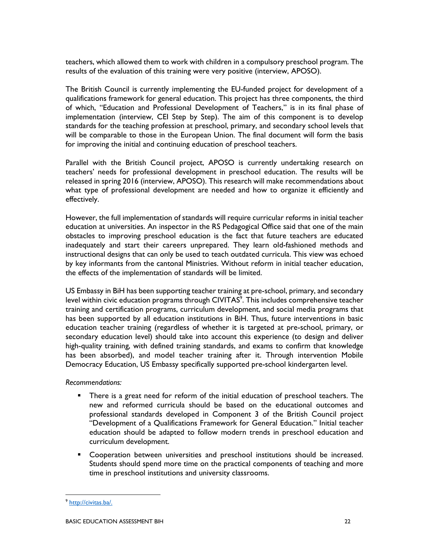teachers, which allowed them to work with children in a compulsory preschool program. The results of the evaluation of this training were very positive (interview, APOSO).

The British Council is currently implementing the EU-funded project for development of a qualifications framework for general education. This project has three components, the third of which, "Education and Professional Development of Teachers," is in its final phase of implementation (interview, CEI Step by Step). The aim of this component is to develop standards for the teaching profession at preschool, primary, and secondary school levels that will be comparable to those in the European Union. The final document will form the basis for improving the initial and continuing education of preschool teachers.

Parallel with the British Council project, APOSO is currently undertaking research on teachers' needs for professional development in preschool education. The results will be released in spring 2016 (interview, APOSO). This research will make recommendations about what type of professional development are needed and how to organize it efficiently and effectively.

However, the full implementation of standards will require curricular reforms in initial teacher education at universities. An inspector in the RS Pedagogical Office said that one of the main obstacles to improving preschool education is the fact that future teachers are educated inadequately and start their careers unprepared. They learn old-fashioned methods and instructional designs that can only be used to teach outdated curricula. This view was echoed by key informants from the cantonal Ministries. Without reform in initial teacher education, the effects of the implementation of standards will be limited.

US Embassy in BiH has been supporting teacher training at pre-school, primary, and secondary level within civic education programs through CIVITAS $\textdegree$ . This includes comprehensive teacher training and certification programs, curriculum development, and social media programs that has been supported by all education institutions in BiH. Thus, future interventions in basic education teacher training (regardless of whether it is targeted at pre-school, primary, or secondary education level) should take into account this experience (to design and deliver high-quality training, with defined training standards, and exams to confirm that knowledge has been absorbed), and model teacher training after it. Through intervention Mobile Democracy Education, US Embassy specifically supported pre-school kindergarten level.

Recommendations:

- There is a great need for reform of the initial education of preschool teachers. The new and reformed curricula should be based on the educational outcomes and professional standards developed in Component 3 of the British Council project "Development of a Qualifications Framework for General Education." Initial teacher education should be adapted to follow modern trends in preschool education and curriculum development.
- Cooperation between universities and preschool institutions should be increased. Students should spend more time on the practical components of teaching and more time in preschool institutions and university classrooms.

<sup>&</sup>lt;sup>9</sup> http://civitas.ba/.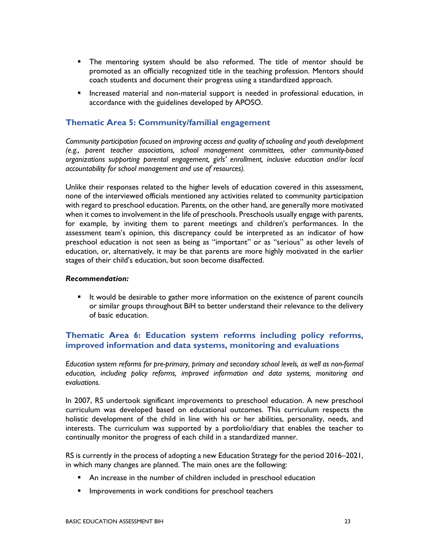- The mentoring system should be also reformed. The title of mentor should be promoted as an officially recognized title in the teaching profession. Mentors should coach students and document their progress using a standardized approach.
- **Increased material and non-material support is needed in professional education, in** accordance with the guidelines developed by APOSO.

### Thematic Area 5: Community/familial engagement

Community participation focused on improving access and quality of schooling and youth development (e.g., parent teacher associations, school management committees, other community-based organizations supporting parental engagement, girls' enrollment, inclusive education and/or local accountability for school management and use of resources).

Unlike their responses related to the higher levels of education covered in this assessment, none of the interviewed officials mentioned any activities related to community participation with regard to preschool education. Parents, on the other hand, are generally more motivated when it comes to involvement in the life of preschools. Preschools usually engage with parents, for example, by inviting them to parent meetings and children's performances. In the assessment team's opinion, this discrepancy could be interpreted as an indicator of how preschool education is not seen as being as "important" or as "serious" as other levels of education, or, alternatively, it may be that parents are more highly motivated in the earlier stages of their child's education, but soon become disaffected.

#### Recommendation:

 It would be desirable to gather more information on the existence of parent councils or similar groups throughout BiH to better understand their relevance to the delivery of basic education.

### Thematic Area 6: Education system reforms including policy reforms, improved information and data systems, monitoring and evaluations

Education system reforms for pre-primary, primary and secondary school levels, as well as non-formal education, including policy reforms, improved information and data systems, monitoring and evaluations.

In 2007, RS undertook significant improvements to preschool education. A new preschool curriculum was developed based on educational outcomes. This curriculum respects the holistic development of the child in line with his or her abilities, personality, needs, and interests. The curriculum was supported by a portfolio/diary that enables the teacher to continually monitor the progress of each child in a standardized manner.

RS is currently in the process of adopting a new Education Strategy for the period 2016–2021, in which many changes are planned. The main ones are the following:

- An increase in the number of children included in preschool education
- Improvements in work conditions for preschool teachers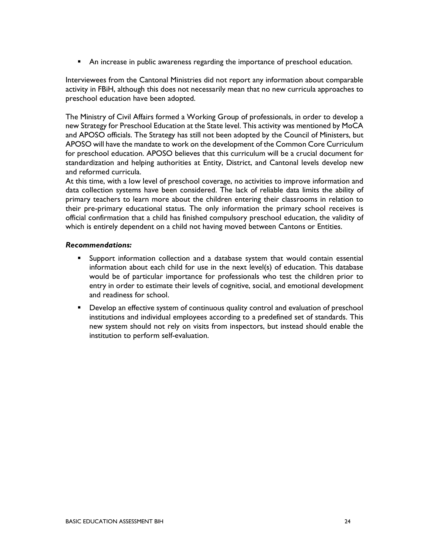An increase in public awareness regarding the importance of preschool education.

Interviewees from the Cantonal Ministries did not report any information about comparable activity in FBiH, although this does not necessarily mean that no new curricula approaches to preschool education have been adopted.

The Ministry of Civil Affairs formed a Working Group of professionals, in order to develop a new Strategy for Preschool Education at the State level. This activity was mentioned by MoCA and APOSO officials. The Strategy has still not been adopted by the Council of Ministers, but APOSO will have the mandate to work on the development of the Common Core Curriculum for preschool education. APOSO believes that this curriculum will be a crucial document for standardization and helping authorities at Entity, District, and Cantonal levels develop new and reformed curricula.

At this time, with a low level of preschool coverage, no activities to improve information and data collection systems have been considered. The lack of reliable data limits the ability of primary teachers to learn more about the children entering their classrooms in relation to their pre-primary educational status. The only information the primary school receives is official confirmation that a child has finished compulsory preschool education, the validity of which is entirely dependent on a child not having moved between Cantons or Entities.

#### Recommendations:

- Support information collection and a database system that would contain essential information about each child for use in the next level(s) of education. This database would be of particular importance for professionals who test the children prior to entry in order to estimate their levels of cognitive, social, and emotional development and readiness for school.
- **•** Develop an effective system of continuous quality control and evaluation of preschool institutions and individual employees according to a predefined set of standards. This new system should not rely on visits from inspectors, but instead should enable the institution to perform self-evaluation.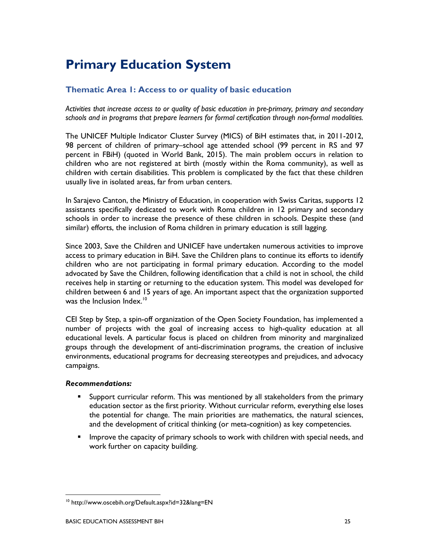## Primary Education System

## Thematic Area 1: Access to or quality of basic education

Activities that increase access to or quality of basic education in pre-primary, primary and secondary schools and in programs that prepare learners for formal certification through non-formal modalities.

The UNICEF Multiple Indicator Cluster Survey (MICS) of BiH estimates that, in 2011-2012, 98 percent of children of primary–school age attended school (99 percent in RS and 97 percent in FBiH) (quoted in World Bank, 2015). The main problem occurs in relation to children who are not registered at birth (mostly within the Roma community), as well as children with certain disabilities. This problem is complicated by the fact that these children usually live in isolated areas, far from urban centers.

In Sarajevo Canton, the Ministry of Education, in cooperation with Swiss Caritas, supports 12 assistants specifically dedicated to work with Roma children in 12 primary and secondary schools in order to increase the presence of these children in schools. Despite these (and similar) efforts, the inclusion of Roma children in primary education is still lagging.

Since 2003, Save the Children and UNICEF have undertaken numerous activities to improve access to primary education in BiH. Save the Children plans to continue its efforts to identify children who are not participating in formal primary education. According to the model advocated by Save the Children, following identification that a child is not in school, the child receives help in starting or returning to the education system. This model was developed for children between 6 and 15 years of age. An important aspect that the organization supported was the Inclusion Index.<sup>10</sup>

CEI Step by Step, a spin-off organization of the Open Society Foundation, has implemented a number of projects with the goal of increasing access to high-quality education at all educational levels. A particular focus is placed on children from minority and marginalized groups through the development of anti-discrimination programs, the creation of inclusive environments, educational programs for decreasing stereotypes and prejudices, and advocacy campaigns.

### Recommendations:

- Support curricular reform. This was mentioned by all stakeholders from the primary education sector as the first priority. Without curricular reform, everything else loses the potential for change. The main priorities are mathematics, the natural sciences, and the development of critical thinking (or meta-cognition) as key competencies.
- **IMPROVE THE CAPACITY OF PRIMATY SCHOOLS TO WORK WITH CHILD MOTE INTERED FIGUREY** Intervalsed and work further on capacity building.

<sup>10</sup> http://www.oscebih.org/Default.aspx?id=32&lang=EN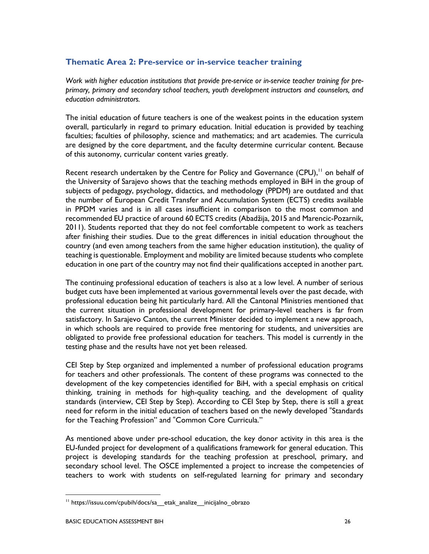## Thematic Area 2: Pre-service or in-service teacher training

Work with higher education institutions that provide pre-service or in-service teacher training for preprimary, primary and secondary school teachers, youth development instructors and counselors, and education administrators.

The initial education of future teachers is one of the weakest points in the education system overall, particularly in regard to primary education. Initial education is provided by teaching faculties; faculties of philosophy, science and mathematics; and art academies. The curricula are designed by the core department, and the faculty determine curricular content. Because of this autonomy, curricular content varies greatly.

Recent research undertaken by the Centre for Policy and Governance  $(CPU)$ ,<sup> $11$ </sup> on behalf of the University of Sarajevo shows that the teaching methods employed in BiH in the group of subjects of pedagogy, psychology, didactics, and methodology (PPDM) are outdated and that the number of European Credit Transfer and Accumulation System (ECTS) credits available in PPDM varies and is in all cases insufficient in comparison to the most common and recommended EU practice of around 60 ECTS credits (Abadžija, 2015 and Marencic-Pozarnik, 2011). Students reported that they do not feel comfortable competent to work as teachers after finishing their studies. Due to the great differences in initial education throughout the country (and even among teachers from the same higher education institution), the quality of teaching is questionable. Employment and mobility are limited because students who complete education in one part of the country may not find their qualifications accepted in another part.

The continuing professional education of teachers is also at a low level. A number of serious budget cuts have been implemented at various governmental levels over the past decade, with professional education being hit particularly hard. All the Cantonal Ministries mentioned that the current situation in professional development for primary-level teachers is far from satisfactory. In Sarajevo Canton, the current Minister decided to implement a new approach, in which schools are required to provide free mentoring for students, and universities are obligated to provide free professional education for teachers. This model is currently in the testing phase and the results have not yet been released.

CEI Step by Step organized and implemented a number of professional education programs for teachers and other professionals. The content of these programs was connected to the development of the key competencies identified for BiH, with a special emphasis on critical thinking, training in methods for high-quality teaching, and the development of quality standards (interview, CEI Step by Step). According to CEI Step by Step, there is still a great need for reform in the initial education of teachers based on the newly developed "Standards for the Teaching Profession" and "Common Core Curricula."

As mentioned above under pre-school education, the key donor activity in this area is the EU-funded project for development of a qualifications framework for general education. This project is developing standards for the teaching profession at preschool, primary, and secondary school level. The OSCE implemented a project to increase the competencies of teachers to work with students on self-regulated learning for primary and secondary

-

<sup>&</sup>lt;sup>11</sup> https://issuu.com/cpubih/docs/sa etak analize inicijalno obrazo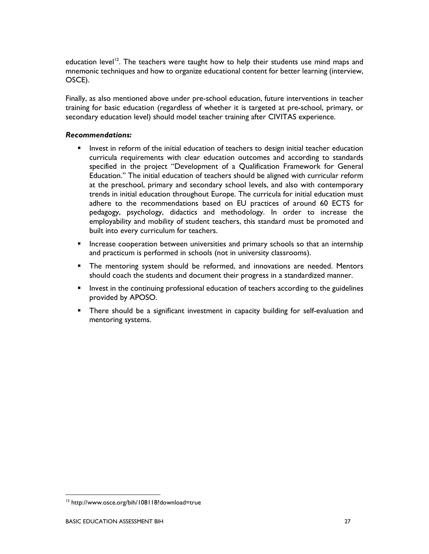education level<sup>12</sup>. The teachers were taught how to help their students use mind maps and mnemonic techniques and how to organize educational content for better learning (interview, OSCE).

Finally, as also mentioned above under pre-school education, future interventions in teacher training for basic education (regardless of whether it is targeted at pre-school, primary, or secondary education level) should model teacher training after CIVITAS experience.

#### Recommendations:

- Invest in reform of the initial education of teachers to design initial teacher education curricula requirements with clear education outcomes and according to standards specified in the project "Development of a Qualification Framework for General Education." The initial education of teachers should be aligned with curricular reform at the preschool, primary and secondary school levels, and also with contemporary trends in initial education throughout Europe. The curricula for initial education must adhere to the recommendations based on EU practices of around 60 ECTS for pedagogy, psychology, didactics and methodology. In order to increase the employability and mobility of student teachers, this standard must be promoted and built into every curriculum for teachers.
- Increase cooperation between universities and primary schools so that an internship and practicum is performed in schools (not in university classrooms).
- The mentoring system should be reformed, and innovations are needed. Mentors should coach the students and document their progress in a standardized manner.
- **Invest in the continuing professional education of teachers according to the guidelines** provided by APOSO.
- There should be a significant investment in capacity building for self-evaluation and mentoring systems.

<sup>&</sup>lt;sup>12</sup> http://www.osce.org/bih/108118?download=true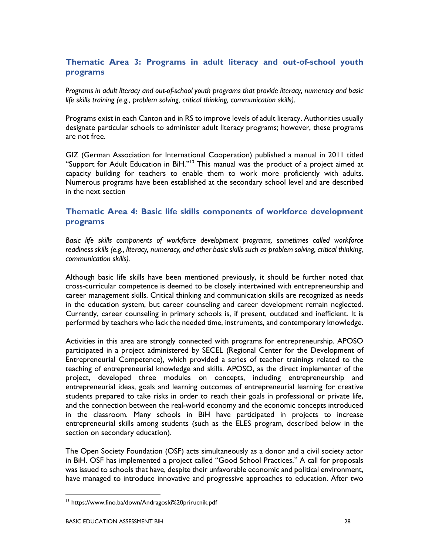## Thematic Area 3: Programs in adult literacy and out-of-school youth programs

Programs in adult literacy and out-of-school youth programs that provide literacy, numeracy and basic life skills training (e.g., problem solving, critical thinking, communication skills).

Programs exist in each Canton and in RS to improve levels of adult literacy. Authorities usually designate particular schools to administer adult literacy programs; however, these programs are not free.

GIZ (German Association for International Cooperation) published a manual in 2011 titled "Support for Adult Education in BiH."<sup>13</sup> This manual was the product of a project aimed at capacity building for teachers to enable them to work more proficiently with adults. Numerous programs have been established at the secondary school level and are described in the next section

## Thematic Area 4: Basic life skills components of workforce development programs

Basic life skills components of workforce development programs, sometimes called workforce readiness skills (e.g., literacy, numeracy, and other basic skills such as problem solving, critical thinking, communication skills).

Although basic life skills have been mentioned previously, it should be further noted that cross-curricular competence is deemed to be closely intertwined with entrepreneurship and career management skills. Critical thinking and communication skills are recognized as needs in the education system, but career counseling and career development remain neglected. Currently, career counseling in primary schools is, if present, outdated and inefficient. It is performed by teachers who lack the needed time, instruments, and contemporary knowledge.

Activities in this area are strongly connected with programs for entrepreneurship. APOSO participated in a project administered by SECEL (Regional Center for the Development of Entrepreneurial Competence), which provided a series of teacher trainings related to the teaching of entrepreneurial knowledge and skills. APOSO, as the direct implementer of the project, developed three modules on concepts, including entrepreneurship and entrepreneurial ideas, goals and learning outcomes of entrepreneurial learning for creative students prepared to take risks in order to reach their goals in professional or private life, and the connection between the real-world economy and the economic concepts introduced in the classroom. Many schools in BiH have participated in projects to increase entrepreneurial skills among students (such as the ELES program, described below in the section on secondary education).

The Open Society Foundation (OSF) acts simultaneously as a donor and a civil society actor in BiH. OSF has implemented a project called "Good School Practices." A call for proposals was issued to schools that have, despite their unfavorable economic and political environment, have managed to introduce innovative and progressive approaches to education. After two

<sup>13</sup> https://www.fino.ba/down/Andragoski%20prirucnik.pdf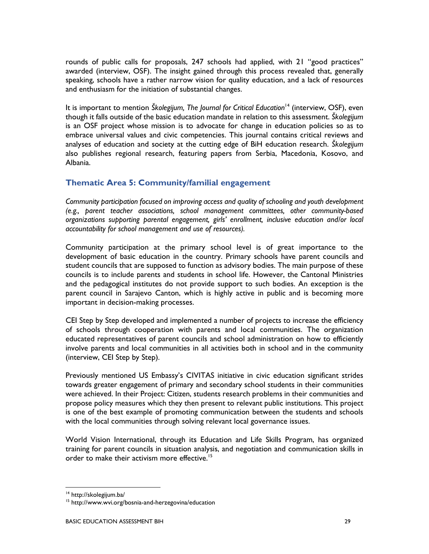rounds of public calls for proposals, 247 schools had applied, with 21 "good practices" awarded (interview, OSF). The insight gained through this process revealed that, generally speaking, schools have a rather narrow vision for quality education, and a lack of resources and enthusiasm for the initiation of substantial changes.

It is important to mention Školegijum, The Journal for Critical Education<sup>14</sup> (interview, OSF), even though it falls outside of the basic education mandate in relation to this assessment. Školegijum is an OSF project whose mission is to advocate for change in education policies so as to embrace universal values and civic competencies. This journal contains critical reviews and analyses of education and society at the cutting edge of BiH education research. *Školegijum* also publishes regional research, featuring papers from Serbia, Macedonia, Kosovo, and Albania.

## Thematic Area 5: Community/familial engagement

Community participation focused on improving access and quality of schooling and youth development (e.g., parent teacher associations, school management committees, other community-based organizations supporting parental engagement, girls' enrollment, inclusive education and/or local accountability for school management and use of resources).

Community participation at the primary school level is of great importance to the development of basic education in the country. Primary schools have parent councils and student councils that are supposed to function as advisory bodies. The main purpose of these councils is to include parents and students in school life. However, the Cantonal Ministries and the pedagogical institutes do not provide support to such bodies. An exception is the parent council in Sarajevo Canton, which is highly active in public and is becoming more important in decision-making processes.

CEI Step by Step developed and implemented a number of projects to increase the efficiency of schools through cooperation with parents and local communities. The organization educated representatives of parent councils and school administration on how to efficiently involve parents and local communities in all activities both in school and in the community (interview, CEI Step by Step).

Previously mentioned US Embassy's CIVITAS initiative in civic education significant strides towards greater engagement of primary and secondary school students in their communities were achieved. In their Project: Citizen, students research problems in their communities and propose policy measures which they then present to relevant public institutions. This project is one of the best example of promoting communication between the students and schools with the local communities through solving relevant local governance issues.

World Vision International, through its Education and Life Skills Program, has organized training for parent councils in situation analysis, and negotiation and communication skills in order to make their activism more effective.<sup>15</sup>

 $\ddot{\phantom{a}}$ 

<sup>&</sup>lt;sup>14</sup> http://skolegijum.ba/

<sup>15</sup> http://www.wvi.org/bosnia-and-herzegovina/education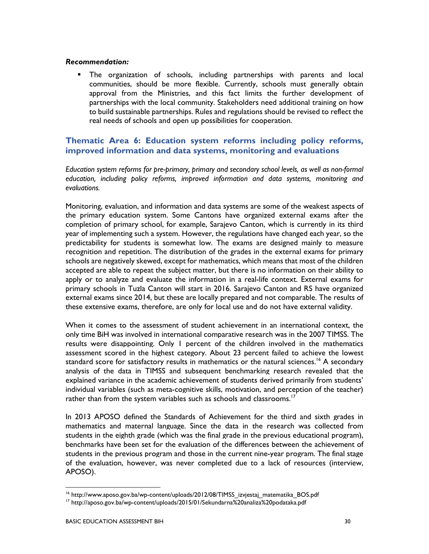#### Recommendation:

 The organization of schools, including partnerships with parents and local communities, should be more flexible. Currently, schools must generally obtain approval from the Ministries, and this fact limits the further development of partnerships with the local community. Stakeholders need additional training on how to build sustainable partnerships. Rules and regulations should be revised to reflect the real needs of schools and open up possibilities for cooperation.

### Thematic Area 6: Education system reforms including policy reforms, improved information and data systems, monitoring and evaluations

Education system reforms for pre-primary, primary and secondary school levels, as well as non-formal education, including policy reforms, improved information and data systems, monitoring and evaluations.

Monitoring, evaluation, and information and data systems are some of the weakest aspects of the primary education system. Some Cantons have organized external exams after the completion of primary school, for example, Sarajevo Canton, which is currently in its third year of implementing such a system. However, the regulations have changed each year, so the predictability for students is somewhat low. The exams are designed mainly to measure recognition and repetition. The distribution of the grades in the external exams for primary schools are negatively skewed, except for mathematics, which means that most of the children accepted are able to repeat the subject matter, but there is no information on their ability to apply or to analyze and evaluate the information in a real-life context. External exams for primary schools in Tuzla Canton will start in 2016. Sarajevo Canton and RS have organized external exams since 2014, but these are locally prepared and not comparable. The results of these extensive exams, therefore, are only for local use and do not have external validity.

When it comes to the assessment of student achievement in an international context, the only time BiH was involved in international comparative research was in the 2007 TIMSS. The results were disappointing. Only 1 percent of the children involved in the mathematics assessment scored in the highest category. About 23 percent failed to achieve the lowest standard score for satisfactory results in mathematics or the natural sciences.<sup>16</sup> A secondary analysis of the data in TIMSS and subsequent benchmarking research revealed that the explained variance in the academic achievement of students derived primarily from students' individual variables (such as meta-cognitive skills, motivation, and perception of the teacher) rather than from the system variables such as schools and classrooms.<sup>17</sup>

In 2013 APOSO defined the Standards of Achievement for the third and sixth grades in mathematics and maternal language. Since the data in the research was collected from students in the eighth grade (which was the final grade in the previous educational program), benchmarks have been set for the evaluation of the differences between the achievement of students in the previous program and those in the current nine-year program. The final stage of the evaluation, however, was never completed due to a lack of resources (interview, APOSO).

 $\ddot{\phantom{a}}$ 

<sup>&</sup>lt;sup>16</sup> http://www.aposo.gov.ba/wp-content/uploads/2012/08/TIMSS\_izvjestaj\_matematika\_BOS.pdf

<sup>&</sup>lt;sup>17</sup> http://aposo.gov.ba/wp-content/uploads/2015/01/Sekundarna%20analiza%20podataka.pdf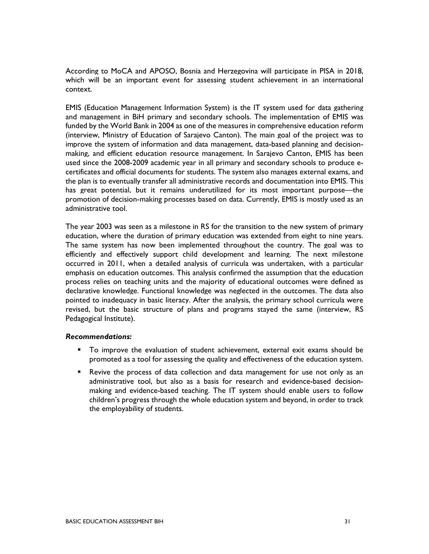According to MoCA and APOSO, Bosnia and Herzegovina will participate in PISA in 2018, which will be an important event for assessing student achievement in an international context.

EMIS (Education Management Information System) is the IT system used for data gathering and management in BiH primary and secondary schools. The implementation of EMIS was funded by the World Bank in 2004 as one of the measures in comprehensive education reform (interview, Ministry of Education of Sarajevo Canton). The main goal of the project was to improve the system of information and data management, data-based planning and decisionmaking, and efficient education resource management. In Sarajevo Canton, EMIS has been used since the 2008-2009 academic year in all primary and secondary schools to produce ecertificates and official documents for students. The system also manages external exams, and the plan is to eventually transfer all administrative records and documentation into EMIS. This has great potential, but it remains underutilized for its most important purpose—the promotion of decision-making processes based on data. Currently, EMIS is mostly used as an administrative tool.

The year 2003 was seen as a milestone in RS for the transition to the new system of primary education, where the duration of primary education was extended from eight to nine years. The same system has now been implemented throughout the country. The goal was to efficiently and effectively support child development and learning. The next milestone occurred in 2011, when a detailed analysis of curricula was undertaken, with a particular emphasis on education outcomes. This analysis confirmed the assumption that the education process relies on teaching units and the majority of educational outcomes were defined as declarative knowledge. Functional knowledge was neglected in the outcomes. The data also pointed to inadequacy in basic literacy. After the analysis, the primary school curricula were revised, but the basic structure of plans and programs stayed the same (interview, RS Pedagogical Institute).

#### Recommendations:

- To improve the evaluation of student achievement, external exit exams should be promoted as a tool for assessing the quality and effectiveness of the education system.
- Revive the process of data collection and data management for use not only as an administrative tool, but also as a basis for research and evidence-based decisionmaking and evidence-based teaching. The IT system should enable users to follow children's progress through the whole education system and beyond, in order to track the employability of students.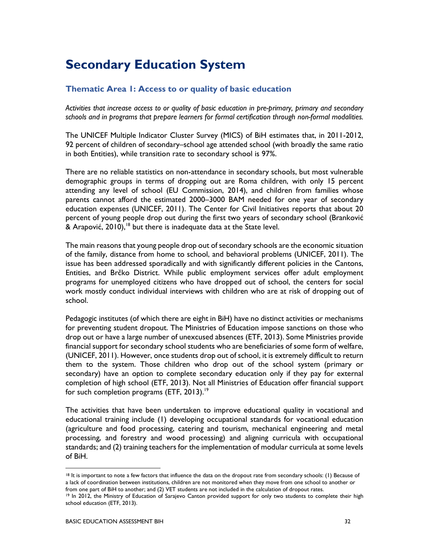## Secondary Education System

## Thematic Area 1: Access to or quality of basic education

Activities that increase access to or quality of basic education in pre-primary, primary and secondary schools and in programs that prepare learners for formal certification through non-formal modalities.

The UNICEF Multiple Indicator Cluster Survey (MICS) of BiH estimates that, in 2011-2012, 92 percent of children of secondary–school age attended school (with broadly the same ratio in both Entities), while transition rate to secondary school is 97%.

There are no reliable statistics on non-attendance in secondary schools, but most vulnerable demographic groups in terms of dropping out are Roma children, with only 15 percent attending any level of school (EU Commission, 2014), and children from families whose parents cannot afford the estimated 2000–3000 BAM needed for one year of secondary education expenses (UNICEF, 2011). The Center for Civil Initiatives reports that about 20 percent of young people drop out during the first two years of secondary school (Branković & Arapović,  $2010$ ,<sup>18</sup> but there is inadequate data at the State level.

The main reasons that young people drop out of secondary schools are the economic situation of the family, distance from home to school, and behavioral problems (UNICEF, 2011). The issue has been addressed sporadically and with significantly different policies in the Cantons, Entities, and Brčko District. While public employment services offer adult employment programs for unemployed citizens who have dropped out of school, the centers for social work mostly conduct individual interviews with children who are at risk of dropping out of school.

Pedagogic institutes (of which there are eight in BiH) have no distinct activities or mechanisms for preventing student dropout. The Ministries of Education impose sanctions on those who drop out or have a large number of unexcused absences (ETF, 2013). Some Ministries provide financial support for secondary school students who are beneficiaries of some form of welfare, (UNICEF, 2011). However, once students drop out of school, it is extremely difficult to return them to the system. Those children who drop out of the school system (primary or secondary) have an option to complete secondary education only if they pay for external completion of high school (ETF, 2013). Not all Ministries of Education offer financial support for such completion programs (ETF, 2013).<sup>19</sup>

The activities that have been undertaken to improve educational quality in vocational and educational training include (1) developing occupational standards for vocational education (agriculture and food processing, catering and tourism, mechanical engineering and metal processing, and forestry and wood processing) and aligning curricula with occupational standards; and (2) training teachers for the implementation of modular curricula at some levels of BiH.

 $\ddot{\phantom{a}}$ 

<sup>&</sup>lt;sup>18</sup> It is important to note a few factors that influence the data on the dropout rate from secondary schools: (1) Because of a lack of coordination between institutions, children are not monitored when they move from one school to another or from one part of BiH to another; and (2) VET students are not included in the calculation of dropout rates.

<sup>&</sup>lt;sup>19</sup> In 2012, the Ministry of Education of Sarajevo Canton provided support for only two students to complete their high school education (ETF, 2013).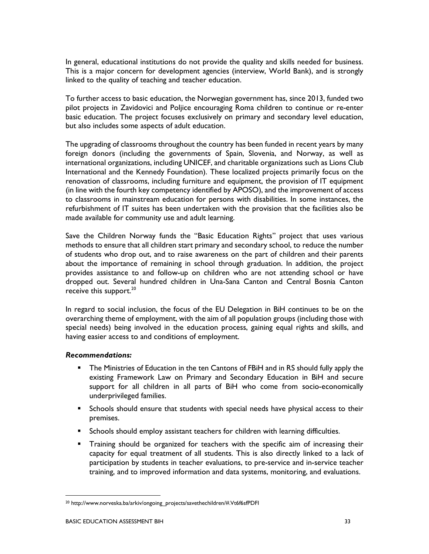In general, educational institutions do not provide the quality and skills needed for business. This is a major concern for development agencies (interview, World Bank), and is strongly linked to the quality of teaching and teacher education.

To further access to basic education, the Norwegian government has, since 2013, funded two pilot projects in Zavidovici and Poljice encouraging Roma children to continue or re-enter basic education. The project focuses exclusively on primary and secondary level education, but also includes some aspects of adult education.

The upgrading of classrooms throughout the country has been funded in recent years by many foreign donors (including the governments of Spain, Slovenia, and Norway, as well as international organizations, including UNICEF, and charitable organizations such as Lions Club International and the Kennedy Foundation). These localized projects primarily focus on the renovation of classrooms, including furniture and equipment, the provision of IT equipment (in line with the fourth key competency identified by APOSO), and the improvement of access to classrooms in mainstream education for persons with disabilities. In some instances, the refurbishment of IT suites has been undertaken with the provision that the facilities also be made available for community use and adult learning.

Save the Children Norway funds the "Basic Education Rights" project that uses various methods to ensure that all children start primary and secondary school, to reduce the number of students who drop out, and to raise awareness on the part of children and their parents about the importance of remaining in school through graduation. In addition, the project provides assistance to and follow-up on children who are not attending school or have dropped out. Several hundred children in Una-Sana Canton and Central Bosnia Canton receive this support.<sup>20</sup>

In regard to social inclusion, the focus of the EU Delegation in BiH continues to be on the overarching theme of employment, with the aim of all population groups (including those with special needs) being involved in the education process, gaining equal rights and skills, and having easier access to and conditions of employment.

#### Recommendations:

- **The Ministries of Education in the ten Cantons of FBiH and in RS should fully apply the** existing Framework Law on Primary and Secondary Education in BiH and secure support for all children in all parts of BiH who come from socio-economically underprivileged families.
- **Schools should ensure that students with special needs have physical access to their** premises.
- **Schools should employ assistant teachers for children with learning difficulties.**
- Training should be organized for teachers with the specific aim of increasing their capacity for equal treatment of all students. This is also directly linked to a lack of participation by students in teacher evaluations, to pre-service and in-service teacher training, and to improved information and data systems, monitoring, and evaluations.

 $\ddot{\phantom{a}}$ 

<sup>&</sup>lt;sup>20</sup> http://www.norveska.ba/arkiv/ongoing\_projects/savethechildren/#.Vt6f6sfPDFI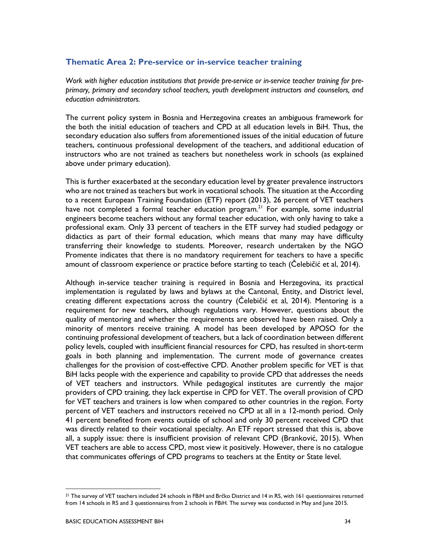### Thematic Area 2: Pre-service or in-service teacher training

Work with higher education institutions that provide pre-service or in-service teacher training for preprimary, primary and secondary school teachers, youth development instructors and counselors, and education administrators.

The current policy system in Bosnia and Herzegovina creates an ambiguous framework for the both the initial education of teachers and CPD at all education levels in BiH. Thus, the secondary education also suffers from aforementioned issues of the initial education of future teachers, continuous professional development of the teachers, and additional education of instructors who are not trained as teachers but nonetheless work in schools (as explained above under primary education).

This is further exacerbated at the secondary education level by greater prevalence instructors who are not trained as teachers but work in vocational schools. The situation at the According to a recent European Training Foundation (ETF) report (2013), 26 percent of VET teachers have not completed a formal teacher education program.<sup>21</sup> For example, some industrial engineers become teachers without any formal teacher education, with only having to take a professional exam. Only 33 percent of teachers in the ETF survey had studied pedagogy or didactics as part of their formal education, which means that many may have difficulty transferring their knowledge to students. Moreover, research undertaken by the NGO Promente indicates that there is no mandatory requirement for teachers to have a specific amount of classroom experience or practice before starting to teach (Čelebičić et al, 2014).

Although in-service teacher training is required in Bosnia and Herzegovina, its practical implementation is regulated by laws and bylaws at the Cantonal, Entity, and District level, creating different expectations across the country (Čelebičić et al, 2014). Mentoring is a requirement for new teachers, although regulations vary. However, questions about the quality of mentoring and whether the requirements are observed have been raised. Only a minority of mentors receive training. A model has been developed by APOSO for the continuing professional development of teachers, but a lack of coordination between different policy levels, coupled with insufficient financial resources for CPD, has resulted in short-term goals in both planning and implementation. The current mode of governance creates challenges for the provision of cost-effective CPD. Another problem specific for VET is that BiH lacks people with the experience and capability to provide CPD that addresses the needs of VET teachers and instructors. While pedagogical institutes are currently the major providers of CPD training, they lack expertise in CPD for VET. The overall provision of CPD for VET teachers and trainers is low when compared to other countries in the region. Forty percent of VET teachers and instructors received no CPD at all in a 12-month period. Only 41 percent benefited from events outside of school and only 30 percent received CPD that was directly related to their vocational specialty. An ETF report stressed that this is, above all, a supply issue: there is insufficient provision of relevant CPD (Branković, 2015). When VET teachers are able to access CPD, most view it positively. However, there is no catalogue that communicates offerings of CPD programs to teachers at the Entity or State level.

<sup>&</sup>lt;sup>21</sup> The survey of VET teachers included 24 schools in FBiH and Brčko District and 14 in RS, with 161 questionnaires returned from 14 schools in RS and 3 questionnaires from 2 schools in FBiH. The survey was conducted in May and June 2015.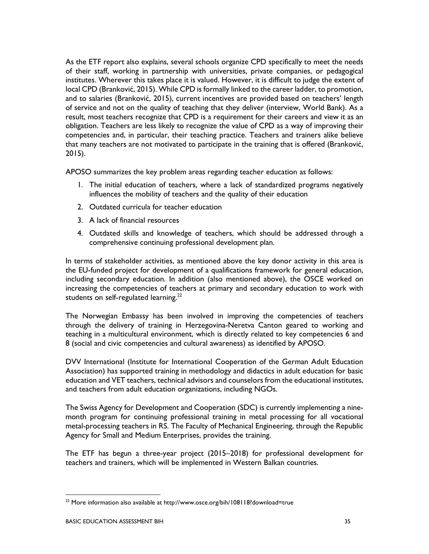As the ETF report also explains, several schools organize CPD specifically to meet the needs of their staff, working in partnership with universities, private companies, or pedagogical institutes. Wherever this takes place it is valued. However, it is difficult to judge the extent of local CPD (Branković, 2015). While CPD is formally linked to the career ladder, to promotion, and to salaries (Branković, 2015), current incentives are provided based on teachers' length of service and not on the quality of teaching that they deliver (interview, World Bank). As a result, most teachers recognize that CPD is a requirement for their careers and view it as an obligation. Teachers are less likely to recognize the value of CPD as a way of improving their competencies and, in particular, their teaching practice. Teachers and trainers alike believe that many teachers are not motivated to participate in the training that is offered (Branković, 2015).

APOSO summarizes the key problem areas regarding teacher education as follows:

- 1. The initial education of teachers, where a lack of standardized programs negatively influences the mobility of teachers and the quality of their education
- 2. Outdated curricula for teacher education
- 3. A lack of financial resources
- 4. Outdated skills and knowledge of teachers, which should be addressed through a comprehensive continuing professional development plan.

In terms of stakeholder activities, as mentioned above the key donor activity in this area is the EU-funded project for development of a qualifications framework for general education, including secondary education. In addition (also mentioned above), the OSCE worked on increasing the competencies of teachers at primary and secondary education to work with students on self-regulated learning. $22$ 

The Norwegian Embassy has been involved in improving the competencies of teachers through the delivery of training in Herzegovina-Neretva Canton geared to working and teaching in a multicultural environment, which is directly related to key competencies 6 and 8 (social and civic competencies and cultural awareness) as identified by APOSO.

DVV International (Institute for International Cooperation of the German Adult Education Association) has supported training in methodology and didactics in adult education for basic education and VET teachers, technical advisors and counselors from the educational institutes, and teachers from adult education organizations, including NGOs.

The Swiss Agency for Development and Cooperation (SDC) is currently implementing a ninemonth program for continuing professional training in metal processing for all vocational metal-processing teachers in RS. The Faculty of Mechanical Engineering, through the Republic Agency for Small and Medium Enterprises, provides the training.

The ETF has begun a three-year project (2015–2018) for professional development for teachers and trainers, which will be implemented in Western Balkan countries.

 $22$  More information also available at http://www.osce.org/bih/108118?download=true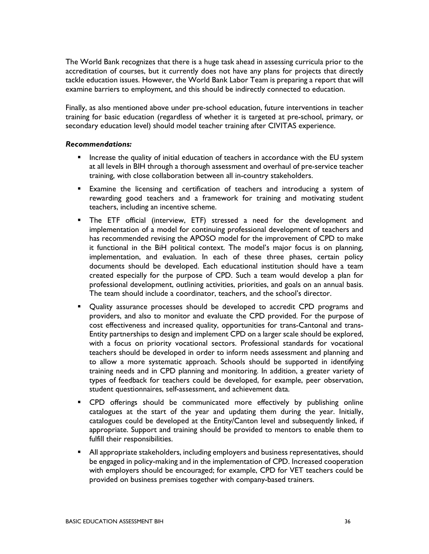The World Bank recognizes that there is a huge task ahead in assessing curricula prior to the accreditation of courses, but it currently does not have any plans for projects that directly tackle education issues. However, the World Bank Labor Team is preparing a report that will examine barriers to employment, and this should be indirectly connected to education.

Finally, as also mentioned above under pre-school education, future interventions in teacher training for basic education (regardless of whether it is targeted at pre-school, primary, or secondary education level) should model teacher training after CIVITAS experience.

#### Recommendations:

- Increase the quality of initial education of teachers in accordance with the EU system at all levels in BIH through a thorough assessment and overhaul of pre-service teacher training, with close collaboration between all in-country stakeholders.
- Examine the licensing and certification of teachers and introducing a system of rewarding good teachers and a framework for training and motivating student teachers, including an incentive scheme.
- The ETF official (interview, ETF) stressed a need for the development and implementation of a model for continuing professional development of teachers and has recommended revising the APOSO model for the improvement of CPD to make it functional in the BiH political context. The model's major focus is on planning, implementation, and evaluation. In each of these three phases, certain policy documents should be developed. Each educational institution should have a team created especially for the purpose of CPD. Such a team would develop a plan for professional development, outlining activities, priorities, and goals on an annual basis. The team should include a coordinator, teachers, and the school's director.
- Quality assurance processes should be developed to accredit CPD programs and providers, and also to monitor and evaluate the CPD provided. For the purpose of cost effectiveness and increased quality, opportunities for trans-Cantonal and trans-Entity partnerships to design and implement CPD on a larger scale should be explored, with a focus on priority vocational sectors. Professional standards for vocational teachers should be developed in order to inform needs assessment and planning and to allow a more systematic approach. Schools should be supported in identifying training needs and in CPD planning and monitoring. In addition, a greater variety of types of feedback for teachers could be developed, for example, peer observation, student questionnaires, self-assessment, and achievement data.
- CPD offerings should be communicated more effectively by publishing online catalogues at the start of the year and updating them during the year. Initially, catalogues could be developed at the Entity/Canton level and subsequently linked, if appropriate. Support and training should be provided to mentors to enable them to fulfill their responsibilities.
- All appropriate stakeholders, including employers and business representatives, should be engaged in policy-making and in the implementation of CPD. Increased cooperation with employers should be encouraged; for example, CPD for VET teachers could be provided on business premises together with company-based trainers.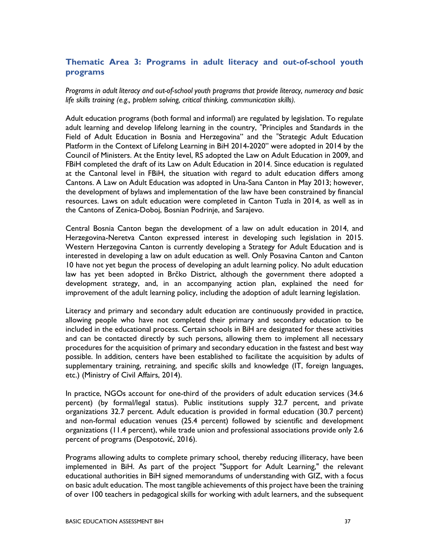## Thematic Area 3: Programs in adult literacy and out-of-school youth programs

Programs in adult literacy and out-of-school youth programs that provide literacy, numeracy and basic life skills training (e.g., problem solving, critical thinking, communication skills).

Adult education programs (both formal and informal) are regulated by legislation. To regulate adult learning and develop lifelong learning in the country, "Principles and Standards in the Field of Adult Education in Bosnia and Herzegovina" and the "Strategic Adult Education Platform in the Context of Lifelong Learning in BiH 2014-2020" were adopted in 2014 by the Council of Ministers. At the Entity level, RS adopted the Law on Adult Education in 2009, and FBiH completed the draft of its Law on Adult Education in 2014. Since education is regulated at the Cantonal level in FBiH, the situation with regard to adult education differs among Cantons. A Law on Adult Education was adopted in Una-Sana Canton in May 2013; however, the development of bylaws and implementation of the law have been constrained by financial resources. Laws on adult education were completed in Canton Tuzla in 2014, as well as in the Cantons of Zenica-Doboj, Bosnian Podrinje, and Sarajevo.

Central Bosnia Canton began the development of a law on adult education in 2014, and Herzegovina-Neretva Canton expressed interest in developing such legislation in 2015. Western Herzegovina Canton is currently developing a Strategy for Adult Education and is interested in developing a law on adult education as well. Only Posavina Canton and Canton 10 have not yet begun the process of developing an adult learning policy. No adult education law has yet been adopted in Brčko District, although the government there adopted a development strategy, and, in an accompanying action plan, explained the need for improvement of the adult learning policy, including the adoption of adult learning legislation.

Literacy and primary and secondary adult education are continuously provided in practice, allowing people who have not completed their primary and secondary education to be included in the educational process. Certain schools in BiH are designated for these activities and can be contacted directly by such persons, allowing them to implement all necessary procedures for the acquisition of primary and secondary education in the fastest and best way possible. In addition, centers have been established to facilitate the acquisition by adults of supplementary training, retraining, and specific skills and knowledge (IT, foreign languages, etc.) (Ministry of Civil Affairs, 2014).

In practice, NGOs account for one-third of the providers of adult education services (34.6 percent) (by formal/legal status). Public institutions supply 32.7 percent, and private organizations 32.7 percent. Adult education is provided in formal education (30.7 percent) and non-formal education venues (25.4 percent) followed by scientific and development organizations (11.4 percent), while trade union and professional associations provide only 2.6 percent of programs (Despotović, 2016).

Programs allowing adults to complete primary school, thereby reducing illiteracy, have been implemented in BiH. As part of the project "Support for Adult Learning," the relevant educational authorities in BiH signed memorandums of understanding with GIZ, with a focus on basic adult education. The most tangible achievements of this project have been the training of over 100 teachers in pedagogical skills for working with adult learners, and the subsequent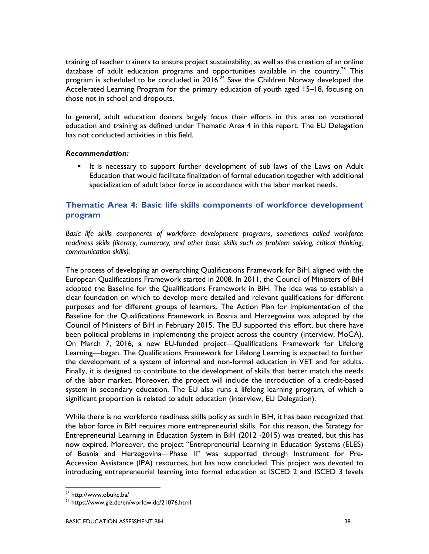training of teacher trainers to ensure project sustainability, as well as the creation of an online database of adult education programs and opportunities available in the country.<sup>23</sup> This program is scheduled to be concluded in 2016.<sup>24</sup> Save the Children Norway developed the Accelerated Learning Program for the primary education of youth aged 15–18, focusing on those not in school and dropouts.

In general, adult education donors largely focus their efforts in this area on vocational education and training as defined under Thematic Area 4 in this report. The EU Delegation has not conducted activities in this field.

#### Recommendation:

It is necessary to support further development of sub laws of the Laws on Adult Education that would facilitate finalization of formal education together with additional specialization of adult labor force in accordance with the labor market needs.

## Thematic Area 4: Basic life skills components of workforce development program

Basic life skills components of workforce development programs, sometimes called workforce readiness skills (literacy, numeracy, and other basic skills such as problem solving, critical thinking, communication skills).

The process of developing an overarching Qualifications Framework for BiH, aligned with the European Qualifications Framework started in 2008. In 2011, the Council of Ministers of BiH adopted the Baseline for the Qualifications Framework in BiH. The idea was to establish a clear foundation on which to develop more detailed and relevant qualifications for different purposes and for different groups of learners. The Action Plan for Implementation of the Baseline for the Qualifications Framework in Bosnia and Herzegovina was adopted by the Council of Ministers of BiH in February 2015. The EU supported this effort, but there have been political problems in implementing the project across the country (interview, MoCA). On March 7, 2016, a new EU-funded project—Qualifications Framework for Lifelong Learning—began. The Qualifications Framework for Lifelong Learning is expected to further the development of a system of informal and non-formal education in VET and for adults. Finally, it is designed to contribute to the development of skills that better match the needs of the labor market. Moreover, the project will include the introduction of a credit-based system in secondary education. The EU also runs a lifelong learning program, of which a significant proportion is related to adult education (interview, EU Delegation).

While there is no workforce readiness skills policy as such in BiH, it has been recognized that the labor force in BiH requires more entrepreneurial skills. For this reason, the Strategy for Entrepreneurial Learning in Education System in BiH (2012 -2015) was created, but this has now expired. Moreover, the project "Entrepreneurial Learning in Education Systems (ELES) of Bosnia and Herzegovina—Phase II" was supported through Instrument for Pre-Accession Assistance (IPA) resources, but has now concluded. This project was devoted to introducing entrepreneurial learning into formal education at ISCED 2 and ISCED 3 levels

<sup>23</sup> http://www.obuke.ba/

<sup>&</sup>lt;sup>24</sup> https://www.giz.de/en/worldwide/21076.html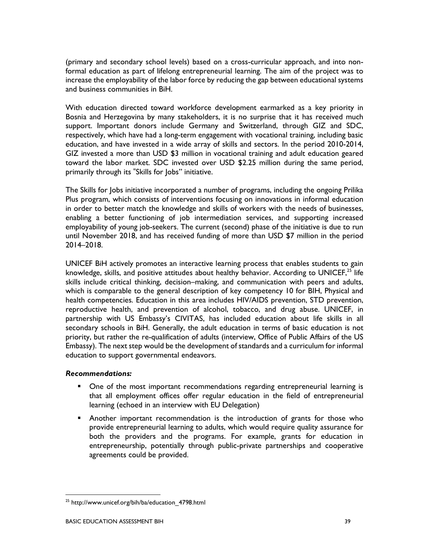(primary and secondary school levels) based on a cross-curricular approach, and into nonformal education as part of lifelong entrepreneurial learning. The aim of the project was to increase the employability of the labor force by reducing the gap between educational systems and business communities in BiH.

With education directed toward workforce development earmarked as a key priority in Bosnia and Herzegovina by many stakeholders, it is no surprise that it has received much support. Important donors include Germany and Switzerland, through GIZ and SDC, respectively, which have had a long-term engagement with vocational training, including basic education, and have invested in a wide array of skills and sectors. In the period 2010-2014, GIZ invested a more than USD \$3 million in vocational training and adult education geared toward the labor market. SDC invested over USD \$2.25 million during the same period, primarily through its "Skills for Jobs" initiative.

The Skills for Jobs initiative incorporated a number of programs, including the ongoing Prilika Plus program, which consists of interventions focusing on innovations in informal education in order to better match the knowledge and skills of workers with the needs of businesses, enabling a better functioning of job intermediation services, and supporting increased employability of young job-seekers. The current (second) phase of the initiative is due to run until November 2018, and has received funding of more than USD \$7 million in the period 2014–2018.

UNICEF BiH actively promotes an interactive learning process that enables students to gain knowledge, skills, and positive attitudes about healthy behavior. According to UNICEF,  $^{25}$  life skills include critical thinking, decision–making, and communication with peers and adults, which is comparable to the general description of key competency 10 for BIH, Physical and health competencies. Education in this area includes HIV/AIDS prevention, STD prevention, reproductive health, and prevention of alcohol, tobacco, and drug abuse. UNICEF, in partnership with US Embassy's CIVITAS, has included education about life skills in all secondary schools in BiH. Generally, the adult education in terms of basic education is not priority, but rather the re-qualification of adults (interview, Office of Public Affairs of the US Embassy). The next step would be the development of standards and a curriculum for informal education to support governmental endeavors.

#### Recommendations:

- One of the most important recommendations regarding entrepreneurial learning is that all employment offices offer regular education in the field of entrepreneurial learning (echoed in an interview with EU Delegation)
- Another important recommendation is the introduction of grants for those who provide entrepreneurial learning to adults, which would require quality assurance for both the providers and the programs. For example, grants for education in entrepreneurship, potentially through public-private partnerships and cooperative agreements could be provided.

-

<sup>&</sup>lt;sup>25</sup> http://www.unicef.org/bih/ba/education\_4798.html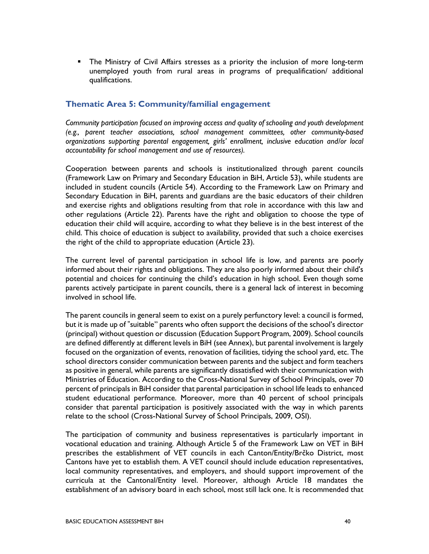The Ministry of Civil Affairs stresses as a priority the inclusion of more long-term unemployed youth from rural areas in programs of prequalification/ additional qualifications.

### Thematic Area 5: Community/familial engagement

Community participation focused on improving access and quality of schooling and youth development (e.g., parent teacher associations, school management committees, other community-based organizations supporting parental engagement, girls' enrollment, inclusive education and/or local accountability for school management and use of resources).

Cooperation between parents and schools is institutionalized through parent councils (Framework Law on Primary and Secondary Education in BiH, Article 53), while students are included in student councils (Article 54). According to the Framework Law on Primary and Secondary Education in BiH, parents and guardians are the basic educators of their children and exercise rights and obligations resulting from that role in accordance with this law and other regulations (Article 22). Parents have the right and obligation to choose the type of education their child will acquire, according to what they believe is in the best interest of the child. This choice of education is subject to availability, provided that such a choice exercises the right of the child to appropriate education (Article 23).

The current level of parental participation in school life is low, and parents are poorly informed about their rights and obligations. They are also poorly informed about their child's potential and choices for continuing the child's education in high school. Even though some parents actively participate in parent councils, there is a general lack of interest in becoming involved in school life.

The parent councils in general seem to exist on a purely perfunctory level: a council is formed, but it is made up of "suitable" parents who often support the decisions of the school's director (principal) without question or discussion (Education Support Program, 2009). School councils are defined differently at different levels in BiH (see Annex), but parental involvement is largely focused on the organization of events, renovation of facilities, tidying the school yard, etc. The school directors consider communication between parents and the subject and form teachers as positive in general, while parents are significantly dissatisfied with their communication with Ministries of Education. According to the Cross-National Survey of School Principals, over 70 percent of principals in BiH consider that parental participation in school life leads to enhanced student educational performance. Moreover, more than 40 percent of school principals consider that parental participation is positively associated with the way in which parents relate to the school (Cross-National Survey of School Principals, 2009, OSI).

The participation of community and business representatives is particularly important in vocational education and training. Although Article 5 of the Framework Law on VET in BiH prescribes the establishment of VET councils in each Canton/Entity/Brčko District, most Cantons have yet to establish them. A VET council should include education representatives, local community representatives, and employers, and should support improvement of the curricula at the Cantonal/Entity level. Moreover, although Article 18 mandates the establishment of an advisory board in each school, most still lack one. It is recommended that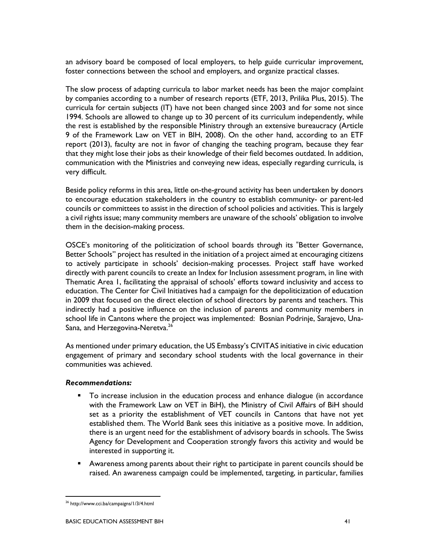an advisory board be composed of local employers, to help guide curricular improvement, foster connections between the school and employers, and organize practical classes.

The slow process of adapting curricula to labor market needs has been the major complaint by companies according to a number of research reports (ETF, 2013, Prilika Plus, 2015). The curricula for certain subjects (IT) have not been changed since 2003 and for some not since 1994. Schools are allowed to change up to 30 percent of its curriculum independently, while the rest is established by the responsible Ministry through an extensive bureaucracy (Article 9 of the Framework Law on VET in BIH, 2008). On the other hand, according to an ETF report (2013), faculty are not in favor of changing the teaching program, because they fear that they might lose their jobs as their knowledge of their field becomes outdated. In addition, communication with the Ministries and conveying new ideas, especially regarding curricula, is very difficult.

Beside policy reforms in this area, little on-the-ground activity has been undertaken by donors to encourage education stakeholders in the country to establish community- or parent-led councils or committees to assist in the direction of school policies and activities. This is largely a civil rights issue; many community members are unaware of the schools' obligation to involve them in the decision-making process.

OSCE's monitoring of the politicization of school boards through its "Better Governance, Better Schools" project has resulted in the initiation of a project aimed at encouraging citizens to actively participate in schools' decision-making processes. Project staff have worked directly with parent councils to create an Index for Inclusion assessment program, in line with Thematic Area 1, facilitating the appraisal of schools' efforts toward inclusivity and access to education. The Center for Civil Initiatives had a campaign for the depoliticization of education in 2009 that focused on the direct election of school directors by parents and teachers. This indirectly had a positive influence on the inclusion of parents and community members in school life in Cantons where the project was implemented: Bosnian Podrinje, Sarajevo, Una-Sana, and Herzegovina-Neretva.<sup>26</sup>

As mentioned under primary education, the US Embassy's CIVITAS initiative in civic education engagement of primary and secondary school students with the local governance in their communities was achieved.

#### Recommendations:

- To increase inclusion in the education process and enhance dialogue (in accordance with the Framework Law on VET in BiH), the Ministry of Civil Affairs of BiH should set as a priority the establishment of VET councils in Cantons that have not yet established them. The World Bank sees this initiative as a positive move. In addition, there is an urgent need for the establishment of advisory boards in schools. The Swiss Agency for Development and Cooperation strongly favors this activity and would be interested in supporting it.
- Awareness among parents about their right to participate in parent councils should be raised. An awareness campaign could be implemented, targeting, in particular, families

<sup>26</sup> http://www.cci.ba/campaigns/1/3/4.html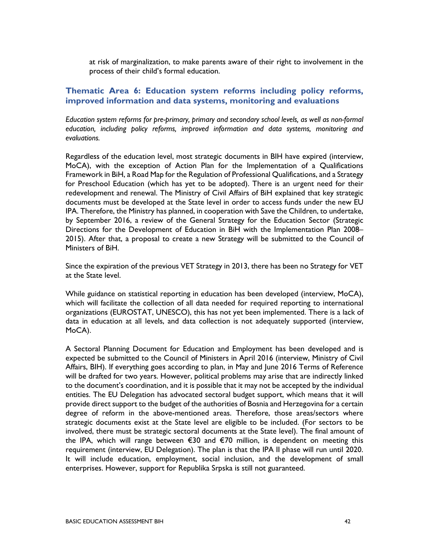at risk of marginalization, to make parents aware of their right to involvement in the process of their child's formal education.

### Thematic Area 6: Education system reforms including policy reforms, improved information and data systems, monitoring and evaluations

Education system reforms for pre-primary, primary and secondary school levels, as well as non-formal education, including policy reforms, improved information and data systems, monitoring and evaluations.

Regardless of the education level, most strategic documents in BIH have expired (interview, MoCA), with the exception of Action Plan for the Implementation of a Qualifications Framework in BiH, a Road Map for the Regulation of Professional Qualifications, and a Strategy for Preschool Education (which has yet to be adopted). There is an urgent need for their redevelopment and renewal. The Ministry of Civil Affairs of BiH explained that key strategic documents must be developed at the State level in order to access funds under the new EU IPA. Therefore, the Ministry has planned, in cooperation with Save the Children, to undertake, by September 2016, a review of the General Strategy for the Education Sector (Strategic Directions for the Development of Education in BiH with the Implementation Plan 2008– 2015). After that, a proposal to create a new Strategy will be submitted to the Council of Ministers of BiH.

Since the expiration of the previous VET Strategy in 2013, there has been no Strategy for VET at the State level.

While guidance on statistical reporting in education has been developed (interview, MoCA), which will facilitate the collection of all data needed for required reporting to international organizations (EUROSTAT, UNESCO), this has not yet been implemented. There is a lack of data in education at all levels, and data collection is not adequately supported (interview, MoCA).

A Sectoral Planning Document for Education and Employment has been developed and is expected be submitted to the Council of Ministers in April 2016 (interview, Ministry of Civil Affairs, BIH). If everything goes according to plan, in May and June 2016 Terms of Reference will be drafted for two years. However, political problems may arise that are indirectly linked to the document's coordination, and it is possible that it may not be accepted by the individual entities. The EU Delegation has advocated sectoral budget support, which means that it will provide direct support to the budget of the authorities of Bosnia and Herzegovina for a certain degree of reform in the above-mentioned areas. Therefore, those areas/sectors where strategic documents exist at the State level are eligible to be included. (For sectors to be involved, there must be strategic sectoral documents at the State level). The final amount of the IPA, which will range between €30 and €70 million, is dependent on meeting this requirement (interview, EU Delegation). The plan is that the IPA II phase will run until 2020. It will include education, employment, social inclusion, and the development of small enterprises. However, support for Republika Srpska is still not guaranteed.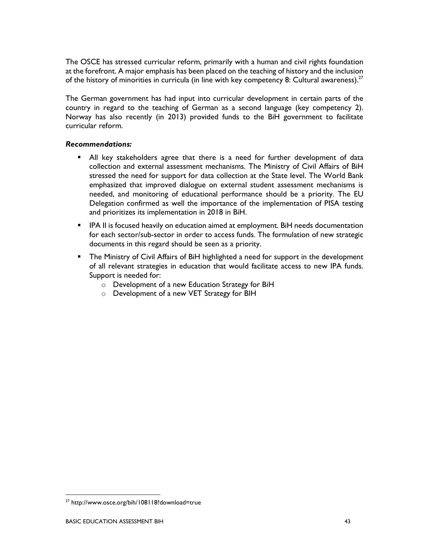The OSCE has stressed curricular reform, primarily with a human and civil rights foundation at the forefront. A major emphasis has been placed on the teaching of history and the inclusion of the history of minorities in curricula (in line with key competency 8: Cultural awareness). $^{27}$ 

The German government has had input into curricular development in certain parts of the country in regard to the teaching of German as a second language (key competency 2). Norway has also recently (in 2013) provided funds to the BiH government to facilitate curricular reform.

#### Recommendations:

- All key stakeholders agree that there is a need for further development of data collection and external assessment mechanisms. The Ministry of Civil Affairs of BiH stressed the need for support for data collection at the State level. The World Bank emphasized that improved dialogue on external student assessment mechanisms is needed, and monitoring of educational performance should be a priority. The EU Delegation confirmed as well the importance of the implementation of PISA testing and prioritizes its implementation in 2018 in BiH.
- **IPA II** is focused heavily on education aimed at employment. BiH needs documentation for each sector/sub-sector in order to access funds. The formulation of new strategic documents in this regard should be seen as a priority.
- The Ministry of Civil Affairs of BiH highlighted a need for support in the development of all relevant strategies in education that would facilitate access to new IPA funds. Support is needed for:
	- o Development of a new Education Strategy for BiH
	- o Development of a new VET Strategy for BIH

<sup>&</sup>lt;sup>27</sup> http://www.osce.org/bih/108118?download=true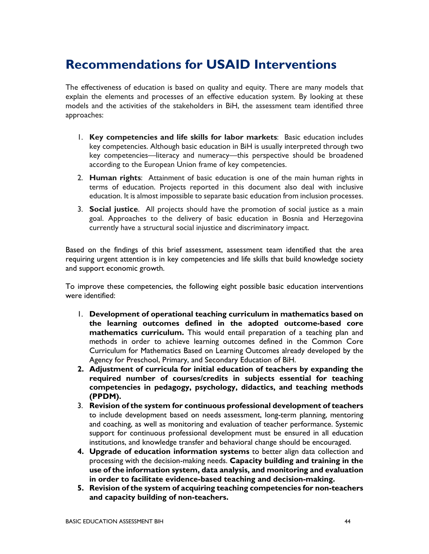## Recommendations for USAID Interventions

The effectiveness of education is based on quality and equity. There are many models that explain the elements and processes of an effective education system. By looking at these models and the activities of the stakeholders in BiH, the assessment team identified three approaches:

- 1. Key competencies and life skills for labor markets: Basic education includes key competencies. Although basic education in BiH is usually interpreted through two key competencies—literacy and numeracy—this perspective should be broadened according to the European Union frame of key competencies.
- 2. Human rights: Attainment of basic education is one of the main human rights in terms of education. Projects reported in this document also deal with inclusive education. It is almost impossible to separate basic education from inclusion processes.
- 3. Social justice. All projects should have the promotion of social justice as a main goal. Approaches to the delivery of basic education in Bosnia and Herzegovina currently have a structural social injustice and discriminatory impact.

Based on the findings of this brief assessment, assessment team identified that the area requiring urgent attention is in key competencies and life skills that build knowledge society and support economic growth.

To improve these competencies, the following eight possible basic education interventions were identified:

- 1. Development of operational teaching curriculum in mathematics based on the learning outcomes defined in the adopted outcome-based core mathematics curriculum. This would entail preparation of a teaching plan and methods in order to achieve learning outcomes defined in the Common Core Curriculum for Mathematics Based on Learning Outcomes already developed by the Agency for Preschool, Primary, and Secondary Education of BiH.
- 2. Adjustment of curricula for initial education of teachers by expanding the required number of courses/credits in subjects essential for teaching competencies in pedagogy, psychology, didactics, and teaching methods (PPDM).
- 3. Revision of the system for continuous professional development of teachers to include development based on needs assessment, long-term planning, mentoring and coaching, as well as monitoring and evaluation of teacher performance. Systemic support for continuous professional development must be ensured in all education institutions, and knowledge transfer and behavioral change should be encouraged.
- 4. Upgrade of education information systems to better align data collection and processing with the decision-making needs. Capacity building and training in the use of the information system, data analysis, and monitoring and evaluation in order to facilitate evidence-based teaching and decision-making.
- 5. Revision of the system of acquiring teaching competencies for non-teachers and capacity building of non-teachers.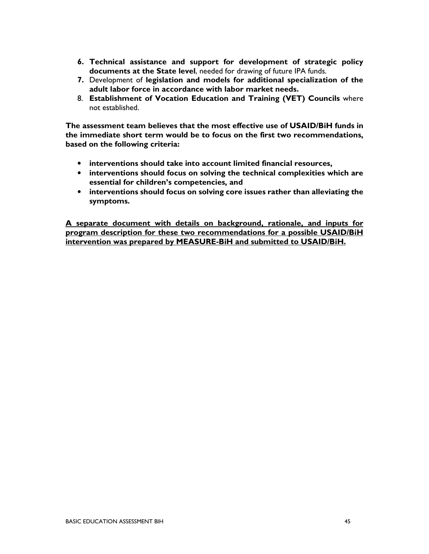- 6. Technical assistance and support for development of strategic policy documents at the State level, needed for drawing of future IPA funds.
- 7. Development of legislation and models for additional specialization of the adult labor force in accordance with labor market needs.
- 8. Establishment of Vocation Education and Training (VET) Councils where not established.

The assessment team believes that the most effective use of USAID/BiH funds in the immediate short term would be to focus on the first two recommendations, based on the following criteria:

- interventions should take into account limited financial resources,
- interventions should focus on solving the technical complexities which are essential for children's competencies, and
- interventions should focus on solving core issues rather than alleviating the symptoms.

A separate document with details on background, rationale, and inputs for program description for these two recommendations for a possible USAID/BiH intervention was prepared by MEASURE-BiH and submitted to USAID/BiH.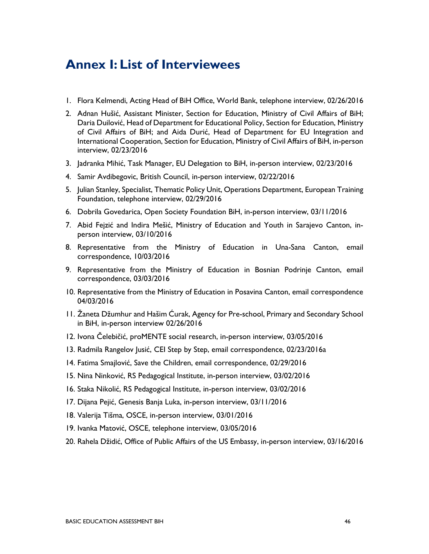## Annex I: List of Interviewees

- 1. Flora Kelmendi, Acting Head of BiH Office, World Bank, telephone interview, 02/26/2016
- 2. Adnan Hušić, Assistant Minister, Section for Education, Ministry of Civil Affairs of BiH; Daria Duilović, Head of Department for Educational Policy, Section for Education, Ministry of Civil Affairs of BiH; and Aida Durić, Head of Department for EU Integration and International Cooperation, Section for Education, Ministry of Civil Affairs of BiH, in-person interview, 02/23/2016
- 3. Jadranka Mihić, Task Manager, EU Delegation to BiH, in-person interview, 02/23/2016
- 4. Samir Avdibegovic, British Council, in-person interview, 02/22/2016
- 5. Julian Stanley, Specialist, Thematic Policy Unit, Operations Department, European Training Foundation, telephone interview, 02/29/2016
- 6. Dobrila Govedarica, Open Society Foundation BiH, in-person interview, 03/11/2016
- 7. Abid Fejzić and Indira Mešić, Ministry of Education and Youth in Sarajevo Canton, inperson interview, 03/10/2016
- 8. Representative from the Ministry of Education in Una-Sana Canton, email correspondence, 10/03/2016
- 9. Representative from the Ministry of Education in Bosnian Podrinje Canton, email correspondence, 03/03/2016
- 10. Representative from the Ministry of Education in Posavina Canton, email correspondence 04/03/2016
- 11. Žaneta Džumhur and Hašim Ćurak, Agency for Pre-school, Primary and Secondary School in BiH, in-person interview 02/26/2016
- 12. Ivona Čelebičić, proMENTE social research, in-person interview, 03/05/2016
- 13. Radmila Rangelov Jusić, CEI Step by Step, email correspondence, 02/23/2016a
- 14. Fatima Smajlović, Save the Children, email correspondence, 02/29/2016
- 15. Nina Ninković, RS Pedagogical Institute, in-person interview, 03/02/2016
- 16. Staka Nikolić, RS Pedagogical Institute, in-person interview, 03/02/2016
- 17. Dijana Pejić, Genesis Banja Luka, in-person interview, 03/11/2016
- 18. Valerija Tišma, OSCE, in-person interview, 03/01/2016
- 19. Ivanka Matović, OSCE, telephone interview, 03/05/2016
- 20. Rahela Džidić, Office of Public Affairs of the US Embassy, in-person interview, 03/16/2016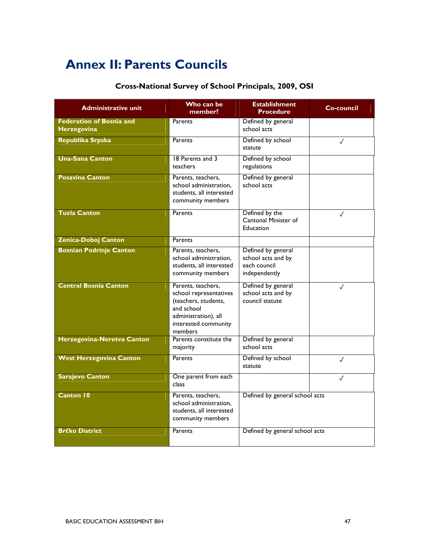## Annex II: Parents Councils

## Cross-National Survey of School Principals, 2009, OSI

| <b>Administrative unit</b>                            | Who can be<br>member?                                                                                                                         | <b>Establishment</b><br><b>Procedure</b>                                  | <b>Co-council</b> |
|-------------------------------------------------------|-----------------------------------------------------------------------------------------------------------------------------------------------|---------------------------------------------------------------------------|-------------------|
| <b>Federation of Bosnia and</b><br><b>Herzegovina</b> | Parents                                                                                                                                       | Defined by general<br>school acts                                         |                   |
| Republika Srpska                                      | Parents                                                                                                                                       | Defined by school<br>statute                                              | $\checkmark$      |
| <b>Una-Sana Canton</b>                                | 18 Parents and 3<br>teachers                                                                                                                  | Defined by school<br>regulations                                          |                   |
| <b>Posavina Canton</b>                                | Parents, teachers,<br>school administration.<br>students, all interested<br>community members                                                 | Defined by general<br>school acts                                         |                   |
| <b>Tuzla Canton</b>                                   | Parents                                                                                                                                       | Defined by the<br>Cantonal Minister of<br><b>Education</b>                | $\checkmark$      |
| Zenica-Doboj Canton                                   | Parents                                                                                                                                       |                                                                           |                   |
| <b>Bosnian Podrinje Canton</b>                        | Parents, teachers,<br>school administration,<br>students, all interested<br>community members                                                 | Defined by general<br>school acts and by<br>each council<br>independently |                   |
| <b>Central Bosnia Canton</b>                          | Parents, teachers,<br>school representatives<br>(teachers, students,<br>and school<br>administration), all<br>interested community<br>members | Defined by general<br>school acts and by<br>council statute               | $\checkmark$      |
| Herzegovina-Neretva Canton                            | Parents constitute the<br>majority                                                                                                            | Defined by general<br>school acts                                         |                   |
| <b>West Herzegovina Canton</b>                        | Parents                                                                                                                                       | Defined by school<br>statute                                              | ✓                 |
| <b>Sarajevo Canton</b>                                | One parent from each<br>class                                                                                                                 |                                                                           | $\checkmark$      |
| <b>Canton 10</b>                                      | Parents, teachers,<br>school administration.<br>students, all interested<br>community members                                                 | Defined by general school acts                                            |                   |
| <b>Brčko District</b>                                 | Parents                                                                                                                                       | Defined by general school acts                                            |                   |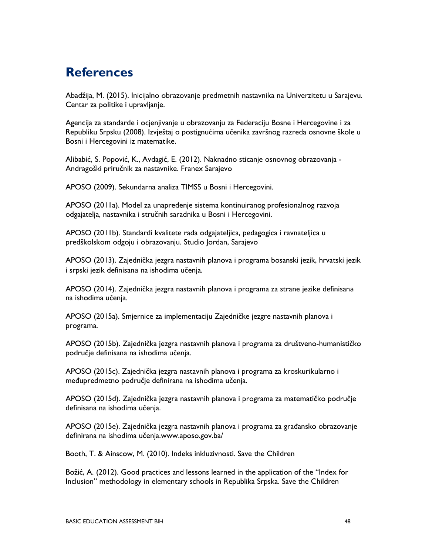## **References**

Abadžija, M. (2015). Inicijalno obrazovanje predmetnih nastavnika na Univerzitetu u Sarajevu. Centar za politike i upravljanje.

Agencija za standarde i ocjenjivanje u obrazovanju za Federaciju Bosne i Hercegovine i za Republiku Srpsku (2008). Izvještaj o postignućima učenika završnog razreda osnovne škole u Bosni i Hercegovini iz matematike.

Alibabić, S. Popović, K., Avdagić, E. (2012). Naknadno sticanje osnovnog obrazovanja - Andragoški priručnik za nastavnike. Franex Sarajevo

APOSO (2009). Sekundarna analiza TIMSS u Bosni i Hercegovini.

APOSO (2011a). Model za unapređenje sistema kontinuiranog profesionalnog razvoja odgajatelja, nastavnika i stručnih saradnika u Bosni i Hercegovini.

APOSO (2011b). Standardi kvalitete rada odgajateljica, pedagogica i ravnateljica u predškolskom odgoju i obrazovanju. Studio Jordan, Sarajevo

APOSO (2013). Zajednička jezgra nastavnih planova i programa bosanski jezik, hrvatski jezik i srpski jezik definisanа na ishodima učenja.

APOSO (2014). Zajednička jezgra nastavnih planova i programa za strane jezike definisanа na ishodima učenja.

APOSO (2015a). Smjernice za implementaciju Zajedničke jezgre nastavnih planova i programa.

APOSO (2015b). Zajednička jezgra nastavnih planova i programa za društveno-humanističko područje definisana na ishodima učenja.

APOSO (2015c). Zajednička jezgra nastavnih planova i programa za kroskurikularno i međupredmetno područje definirana na ishodima učenja.

APOSO (2015d). Zajednička jezgra nastavnih planova i programa za matematičko područje definisana na ishodima učenja.

APOSO (2015e). Zajednička jezgra nastavnih planova i programa za građansko obrazovanje definirana na ishodima učenja.www.aposo.gov.ba/

Booth, T. & Ainscow, M. (2010). Indeks inkluzivnosti. Save the Children

Božić, A. (2012). Good practices and lessons learned in the application of the "Index for Inclusion" methodology in elementary schools in Republika Srpska. Save the Children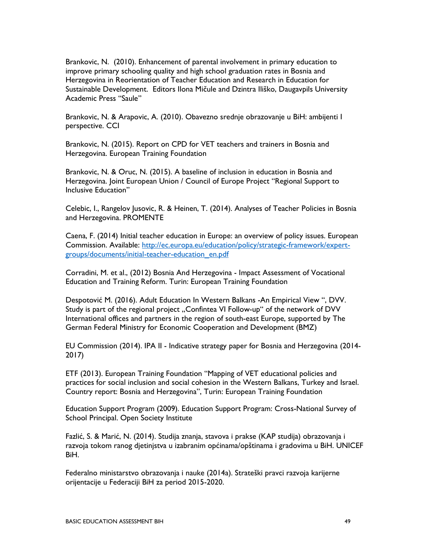Brankovic, N. (2010). Enhancement of parental involvement in primary education to improve primary schooling quality and high school graduation rates in Bosnia and Herzegovina in Reorientation of Teacher Education and Research in Education for Sustainable Development. Editors Ilona Mičule and Dzintra Iliško, Daugavpils University Academic Press "Saule"

Brankovic, N. & Arapovic, A. (2010). Obavezno srednje obrazovanje u BiH: ambijenti I perspective. CCI

Brankovic, N. (2015). Report on CPD for VET teachers and trainers in Bosnia and Herzegovina. European Training Foundation

Brankovic, N. & Oruc, N. (2015). A baseline of inclusion in education in Bosnia and Herzegovina. Joint European Union / Council of Europe Project "Regional Support to Inclusive Education"

Celebic, I., Rangelov Jusovic, R. & Heinen, T. (2014). Analyses of Teacher Policies in Bosnia and Herzegovina. PROMENTE

Caena, F. (2014) Initial teacher education in Europe: an overview of policy issues. European Commission. Available: http://ec.europa.eu/education/policy/strategic-framework/expertgroups/documents/initial-teacher-education\_en.pdf

Corradini, M. et al., (2012) Bosnia And Herzegovina - Impact Assessment of Vocational Education and Training Reform. Turin: European Training Foundation

Despotović M. (2016). Adult Education In Western Balkans -An Empirical View ", DVV. Study is part of the regional project "Confintea VI Follow-up" of the network of DVV International offices and partners in the region of south-east Europe, supported by The German Federal Ministry for Economic Cooperation and Development (BMZ)

EU Commission (2014). IPA II - Indicative strategy paper for Bosnia and Herzegovina (2014- 2017)

ETF (2013). European Training Foundation "Mapping of VET educational policies and practices for social inclusion and social cohesion in the Western Balkans, Turkey and Israel. Country report: Bosnia and Herzegovina", Turin: European Training Foundation

Education Support Program (2009). Education Support Program: Cross-National Survey of School Principal. Open Society Institute

Fazlić, S. & Marić, N. (2014). Studija znanja, stavova i prakse (KAP studija) obrazovanja i razvoja tokom ranog djetinjstva u izabranim općinama/opštinama i gradovima u BiH. UNICEF BiH.

Federalno ministarstvo obrazovanja i nauke (2014a). Strateški pravci razvoja karijerne orijentacije u Federaciji BiH za period 2015-2020.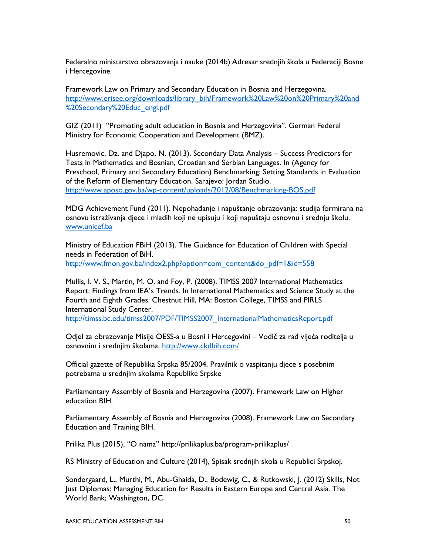Federalno ministarstvo obrazovanja i nauke (2014b) Adresar srednjih škola u Federaciji Bosne i Hercegovine.

Framework Law on Primary and Secondary Education in Bosnia and Herzegovina. http://www.erisee.org/downloads/library\_bih/Framework%20Law%20on%20Primary%20and %20Secondary%20Educ\_engl.pdf

GIZ (2011) "Promoting adult education in Bosnia and Herzegovina". German Federal Ministry for Economic Cooperation and Development (BMZ).

Husremovic, Dz. and Djapo, N. (2013). Secondary Data Analysis – Success Predictors for Tests in Mathematics and Bosnian, Croatian and Serbian Languages. In (Agency for Preschool, Primary and Secondary Education) Benchmarking: Setting Standards in Evaluation of the Reform of Elementary Education. Sarajevo: Jordan Studio. http://www.aposo.gov.ba/wp-content/uploads/2012/08/Benchmarking-BOS.pdf

MDG Achievement Fund (2011). Nepohađanje i napuštanje obrazovanja: studija formirana na osnovu istraživanja djece i mladih koji ne upisuju i koji napuštaju osnovnu i srednju školu. www.unicef.ba

Ministry of Education FBiH (2013). The Guidance for Education of Children with Special needs in Federation of BiH. http://www.fmon.gov.ba/index2.php?option=com\_content&do\_pdf=1&id=558

Mullis, I. V. S., Martin, M. O. and Foy, P. (2008). TIMSS 2007 International Mathematics Report: Findings from IEA's Trends. In International Mathematics and Science Study at the Fourth and Eighth Grades. Chestnut Hill, MA: Boston College, TIMSS and PIRLS International Study Center.

http://timss.bc.edu/timss2007/PDF/TIMSS2007\_InternationalMathematicsReport.pdf

Odjel za obrazovanje Misije OESS-a u Bosni i Hercegovini – Vodič za rad vijeća roditelja u osnovnim i srednjim školama. http://www.ckdbih.com/

Official gazette of Republika Srpska 85/2004. Pravilnik o vaspitanju djece s posebnim potrebama u srednjim skolama Republike Srpske

Parliamentary Assembly of Bosnia and Herzegovina (2007). Framework Law on Higher education BIH.

Parliamentary Assembly of Bosnia and Herzegovina (2008). Framework Law on Secondary Education and Training BIH.

Prilika Plus (2015), "O nama" http://prilikaplus.ba/program-prilikaplus/

RS Ministry of Education and Culture (2014), Spisak srednjih skola u Republici Srpskoj.

Sondergaard, L., Murthi, M., Abu-Ghaida, D., Bodewig, C., & Rutkowski, J. (2012) Skills, Not Just Diplomas: Managing Education for Results in Eastern Europe and Central Asia. The World Bank; Washington, DC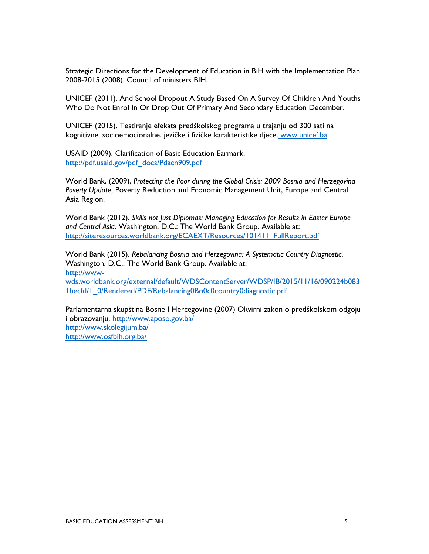Strategic Directions for the Development of Education in BiH with the Implementation Plan 2008-2015 (2008). Council of ministers BIH.

UNICEF (2011). And School Dropout A Study Based On A Survey Of Children And Youths Who Do Not Enrol In Or Drop Out Of Primary And Secondary Education December.

UNICEF (2015). Testiranje efekata predškolskog programa u trajanju od 300 sati na kognitivne, socioemocionalne, jezičke i fizičke karakteristike djece. www.unicef.ba

USAID (2009). Clarification of Basic Education Earmark. http://pdf.usaid.gov/pdf\_docs/Pdacn909.pdf

World Bank, (2009), Protecting the Poor during the Global Crisis: 2009 Bosnia and Herzegovina Poverty Update, Poverty Reduction and Economic Management Unit, Europe and Central Asia Region.

World Bank (2012). Skills not Just Diplomas: Managing Education for Results in Easter Europe and Central Asia. Washington, D.C.: The World Bank Group. Available at: http://siteresources.worldbank.org/ECAEXT/Resources/101411\_FullReport.pdf

World Bank (2015). Rebalancing Bosnia and Herzegovina: A Systematic Country Diagnostic. Washington, D.C.: The World Bank Group. Available at: http://wwwwds.worldbank.org/external/default/WDSContentServer/WDSP/IB/2015/11/16/090224b083 1becfd/1\_0/Rendered/PDF/Rebalancing0Bo0c0country0diagnostic.pdf

Parlamentarna skupština Bosne I Hercegovine (2007) Okvirni zakon o predškolskom odgoju i obrazovanju. http://www.aposo.gov.ba/ http://www.skolegijum.ba/ http://www.osfbih.org.ba/